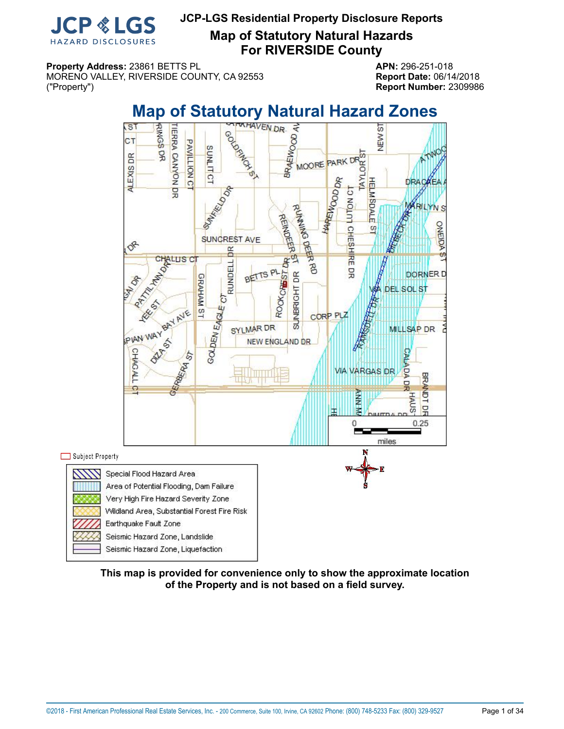

**Map of Statutory Natural Hazards For RIVERSIDE County**

**Property Address:** 23861 BETTS PL **APN:** 296-251-018 MORENO VALLEY, RIVERSIDE COUNTY, CA 92553 **Report Date:** 06/14/2018 ("Property") **Report Number:** 2309986

<span id="page-0-0"></span>

**This map is provided for convenience only to show the approximate location of the Property and is not based on a field survey.**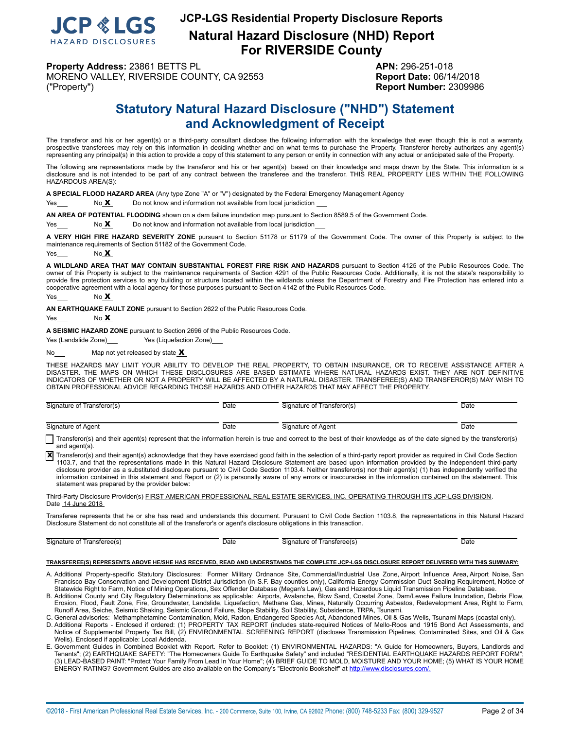

**Property Address:** 23861 BETTS PL **APN:** 296-251-018 MORENO VALLEY, RIVERSIDE COUNTY, CA 92553 **Report Date:** 06/14/2018 ("Property") **Report Number:** 2309986

## **Statutory Natural Hazard Disclosure ("NHD") Statement and Acknowledgment of Receipt**

<span id="page-1-0"></span>The transferor and his or her agent(s) or a third-party consultant disclose the following information with the knowledge that even though this is not a warranty, prospective transferees may rely on this information in deciding whether and on what terms to purchase the Property. Transferor hereby authorizes any agent(s) representing any principal(s) in this action to provide a copy of this statement to any person or entity in connection with any actual or anticipated sale of the Property.

The following are representations made by the transferor and his or her agent(s) based on their knowledge and maps drawn by the State. This information is a disclosure and is not intended to be part of any contract between the transferee and the transferor. THIS REAL PROPERTY LIES WITHIN THE FOLLOWING HAZARDOUS AREA(S):

**A SPECIAL FLOOD HAZARD AREA** (Any type Zone "A" or "V") designated by the Federal Emergency Management Agency

Yes No X Do not know and information not available from local jurisdiction

**AN AREA OF POTENTIAL FLOODING** shown on a dam failure inundation map pursuant to Section 8589.5 of the Government Code.

 $Yes  $\sim$  No X  $\sim$  Do not know and information not available from local jurisdiction$ 

**A VERY HIGH FIRE HAZARD SEVERITY ZONE** pursuant to Section 51178 or 51179 of the Government Code. The owner of this Property is subject to the maintenance requirements of Section 51182 of the Government Code.

Yes  $N<sub>0</sub> X$ 

**A WILDLAND AREA THAT MAY CONTAIN SUBSTANTIAL FOREST FIRE RISK AND HAZARDS** pursuant to Section 4125 of the Public Resources Code. The owner of this Property is subject to the maintenance requirements of Section 4291 of the Public Resources Code. Additionally, it is not the state's responsibility to provide fire protection services to any building or structure located within the wildlands unless the Department of Forestry and Fire Protection has entered into a cooperative agreement with a local agency for those purposes pursuant to Section 4142 of the Public Resources Code.

Yes No **X** 

**AN EARTHQUAKE FAULT ZONE** pursuant to Section 2622 of the Public Resources Code.

 $Yes$  No  $X$ 

**A SEISMIC HAZARD ZONE** pursuant to Section 2696 of the Public Resources Code.

Yes (Landslide Zone) Yes (Liquefaction Zone)

No $\frac{\mathbf{x}}{x}$  Map not yet released by state  $\mathbf{x}$ 

THESE HAZARDS MAY LIMIT YOUR ABILITY TO DEVELOP THE REAL PROPERTY, TO OBTAIN INSURANCE, OR TO RECEIVE ASSISTANCE AFTER A<br>DISASTER. THE MAPS ON WHICH THESE DISCLOSURES ARE BASED ESTIMATE WHERE NATURAL HAZARDS EXIST. THEY AR INDICATORS OF WHETHER OR NOT A PROPERTY WILL BE AFFECTED BY A NATURAL DISASTER. TRANSFEREE(S) AND TRANSFEROR(S) MAY WISH TO OBTAIN PROFESSIONAL ADVICE REGARDING THOSE HAZARDS AND OTHER HAZARDS THAT MAY AFFECT THE PROPERTY.

| $\sim$<br>Signature of Transferor(s) | Date | Signature of Transferor(s) | Date |
|--------------------------------------|------|----------------------------|------|
|                                      |      |                            |      |
| Signature of Agent                   | Date | Signature of Agent         | Date |

Transferor(s) and their agent(s) represent that the information herein is true and correct to the best of their knowledge as of the date signed by the transferor(s) and agent(s).

Transferor(s) and their agent(s) acknowledge that they have exercised good faith in the selection of a third-party report provider as required in Civil Code Section<br>1103.7, and that the representations made in this Natural disclosure provider as a substituted disclosure pursuant to Civil Code Section 1103.4. Neither transferor(s) nor their agent(s) (1) has independently verified the information contained in this statement and Report or (2) is personally aware of any errors or inaccuracies in the information contained on the statement. This statement was prepared by the provider below:

Third-Party Disclosure Provider(s) FIRST AMERICAN PROFESSIONAL REAL ESTATE SERVICES, INC. OPERATING THROUGH ITS JCP-LGS DIVISION. Date 14 June 2018

Transferee represents that he or she has read and understands this document. Pursuant to Civil Code Section 1103.8, the representations in this Natural Hazard Disclosure Statement do not constitute all of the transferor's or agent's disclosure obligations in this transaction.

Signature of Transferee(s) Date **Date Signature of Transferee(s)** Date Date Date

#### **TRANSFEREE(S) REPRESENTS ABOVE HE/SHE HAS RECEIVED, READ AND UNDERSTANDS THE COMPLETE JCP-LGS DISCLOSURE REPORT DELIVERED WITH THIS SUMMARY:**

- A. Additional Property-specific Statutory Disclosures: Former Military Ordnance Site, Commercial/Industrial Use Zone, Airport Influence Area, Airport Noise, San Francisco Bay Conservation and Development District Jurisdiction (in S.F. Bay counties only), California Energy Commission Duct Sealing Requirement, Notice of<br>Statewide Right to Farm, Notice of Mining Operations, Sex Offen
- B. Additional County and City Regulatory Determinations as applicable: Airports, Avalanche, Blow Sand, Coastal Zone, Dam/Levee Failure Inundation, Debris Flow,<br>Erosion, Flood, Fault Zone, Fire, Groundwater, Landslide, Liqu
- Runoff Area, Seiche, Seismic Shaking, Seismic Ground Failure, Slope Stability, Soil Stability, Subsidence, TRPA, Tsunami.<br>C. General advisories: Methamphetamine Contamination, Mold, Radon, Endangered Species Act, Abandoned
- D. Additional Reports Enclosed if ordered: (1) PROPERTY TAX REPORT (includes state-required Notices of Mello-Roos and 1915 Bond Act Assessments, and<br>Notice of Supplemental Property Tax Bill, (2) ENVIRONMENTAL SCREENING R Wells). Enclosed if applicable: Local Addenda.
- E. Government Guides in Combined Booklet with Report. Refer to Booklet: (1) ENVIRONMENTAL HAZARDS: "A Guide for Homeowners, Buyers, Landlords and Tenants"; (2) EARTHQUAKE SAFETY: "The Homeowners Guide To Earthquake Safety" and included "RESIDENTIAL EARTHQUAKE HAZARDS REPORT FORM"; (3) LEAD-BASED PAINT: "Protect Your Family From Lead In Your Home"; (4) BRIEF GUIDE TO MOLD, MOISTURE AND YOUR HOME; (5) WHAT IS YOUR HOME ENERGY RATING? Government Guides are also available on the Company's "Electronic Bookshelf" at http://www.disclosures.com/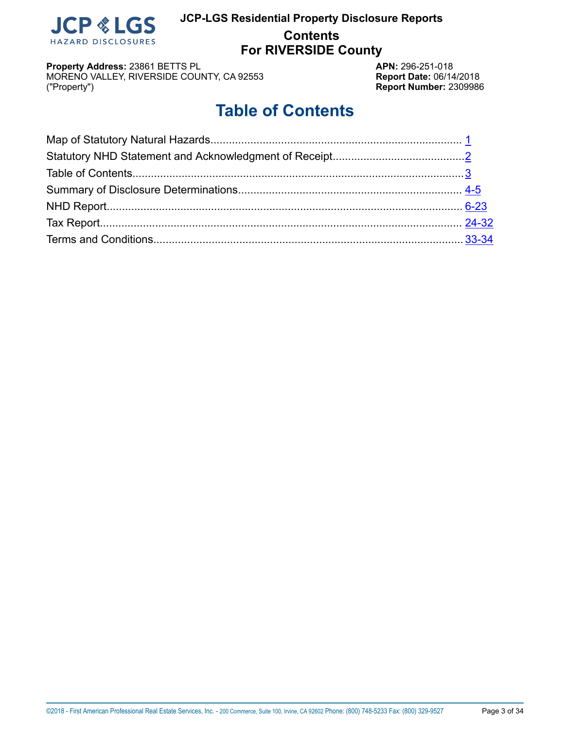

## **JCP-LGS Residential Property Disclosure Reports Contents For RIVERSIDE County**

**Property Address:** 23861 BETTS PL<br>MORENO VALLEY, RIVERSIDE COUNTY, CA 92553 **APN:** 296-251-018 MORENO VALLEY, RIVERSIDE COUNTY, CA 92553 ("Property") **Report Number:** 2309986

# **Table of Contents**

<span id="page-2-0"></span>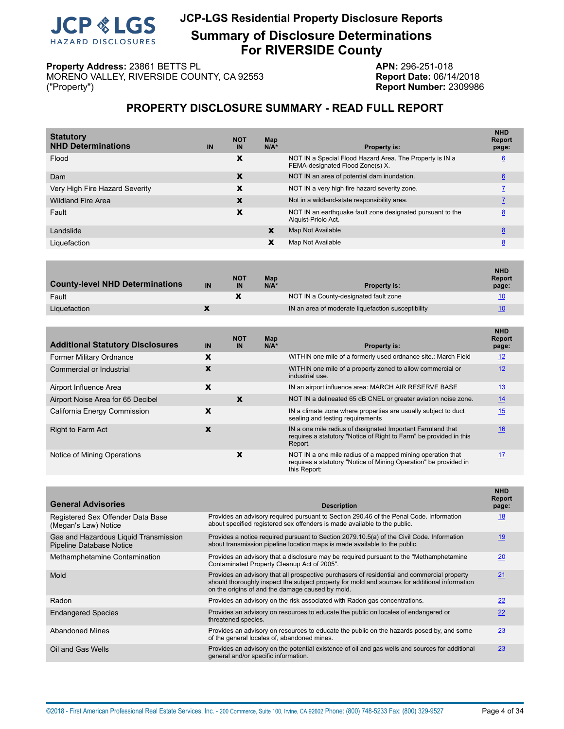

## **JCP-LGS Residential Property Disclosure Reports Summary of Disclosure Determinations For RIVERSIDE County**

**Property Address:** 23861 BETTS PL<br>MORENO VALLEY, RIVERSIDE COUNTY, CA 92553 **APN:** 296-251-018 MORENO VALLEY, RIVERSIDE COUNTY, CA 92553 ("Property") **Report Number:** 2309986

## **PROPERTY DISCLOSURE SUMMARY - READ FULL REPORT**

<span id="page-3-0"></span>

| IN | <b>NOT</b><br>IN | Map<br>$N/A^*$ | <b>Property is:</b>                                                                          | <b>NHD</b><br><b>Report</b><br>page: |
|----|------------------|----------------|----------------------------------------------------------------------------------------------|--------------------------------------|
|    | X                |                | NOT IN a Special Flood Hazard Area. The Property is IN a<br>FEMA-designated Flood Zone(s) X. | $6\overline{6}$                      |
|    | X                |                | NOT IN an area of potential dam inundation.                                                  | 6                                    |
|    | х                |                | NOT IN a very high fire hazard severity zone.                                                |                                      |
|    | X                |                | Not in a wildland-state responsibility area.                                                 |                                      |
|    | x                |                | NOT IN an earthquake fault zone designated pursuant to the<br>Alguist-Priolo Act.            | 8                                    |
|    |                  | X              | Map Not Available                                                                            | 8                                    |
|    |                  | x              | Map Not Available                                                                            | 8                                    |
|    |                  |                |                                                                                              |                                      |

| <b>County-level NHD Determinations</b> | IN | <b>NOT</b><br>IN | Map<br>$N/A^*$ | <b>Property is:</b>                                | <b>NHD</b><br><b>Report</b><br>page: |
|----------------------------------------|----|------------------|----------------|----------------------------------------------------|--------------------------------------|
| Fault                                  |    |                  |                | NOT IN a County-designated fault zone              | 10                                   |
| Liquefaction                           |    |                  |                | IN an area of moderate liquefaction susceptibility | 10                                   |

| <b>Additional Statutory Disclosures</b> | IN | <b>NOT</b><br>IN | Map<br>$N/A*$ | Property is:                                                                                                                                   | <b>NHD</b><br><b>Report</b><br>page: |
|-----------------------------------------|----|------------------|---------------|------------------------------------------------------------------------------------------------------------------------------------------------|--------------------------------------|
| Former Military Ordnance                | X  |                  |               | WITHIN one mile of a formerly used ordnance site.: March Field                                                                                 | 12                                   |
| Commercial or Industrial                | X  |                  |               | WITHIN one mile of a property zoned to allow commercial or<br>industrial use.                                                                  | 12                                   |
| Airport Influence Area                  | X  |                  |               | IN an airport influence area: MARCH AIR RESERVE BASE                                                                                           | 13                                   |
| Airport Noise Area for 65 Decibel       |    | X                |               | NOT IN a delineated 65 dB CNEL or greater aviation noise zone.                                                                                 | 14                                   |
| California Energy Commission            | X  |                  |               | IN a climate zone where properties are usually subject to duct<br>sealing and testing requirements                                             | 15                                   |
| <b>Right to Farm Act</b>                | X  |                  |               | IN a one mile radius of designated Important Farmland that<br>requires a statutory "Notice of Right to Farm" be provided in this<br>Report.    | 16                                   |
| Notice of Mining Operations             |    | X                |               | NOT IN a one mile radius of a mapped mining operation that<br>requires a statutory "Notice of Mining Operation" be provided in<br>this Report: | 17                                   |

| <b>Description</b>                                                                                                                                                                                                                                | <b>NHD</b><br><b>Report</b><br>page: |
|---------------------------------------------------------------------------------------------------------------------------------------------------------------------------------------------------------------------------------------------------|--------------------------------------|
| Provides an advisory required pursuant to Section 290.46 of the Penal Code. Information<br>about specified registered sex offenders is made available to the public.                                                                              | 18                                   |
| Provides a notice required pursuant to Section 2079.10.5(a) of the Civil Code. Information<br>about transmission pipeline location maps is made available to the public.                                                                          | 19                                   |
| Provides an advisory that a disclosure may be required pursuant to the "Methamphetamine"<br>Contaminated Property Cleanup Act of 2005".                                                                                                           | 20                                   |
| Provides an advisory that all prospective purchasers of residential and commercial property<br>should thoroughly inspect the subject property for mold and sources for additional information<br>on the origins of and the damage caused by mold. | 21                                   |
| Provides an advisory on the risk associated with Radon gas concentrations.                                                                                                                                                                        | 22                                   |
| Provides an advisory on resources to educate the public on locales of endangered or<br>threatened species.                                                                                                                                        | 22                                   |
| Provides an advisory on resources to educate the public on the hazards posed by, and some<br>of the general locales of, abandoned mines.                                                                                                          | 23                                   |
| Provides an advisory on the potential existence of oil and gas wells and sources for additional<br>general and/or specific information.                                                                                                           | 23                                   |
|                                                                                                                                                                                                                                                   |                                      |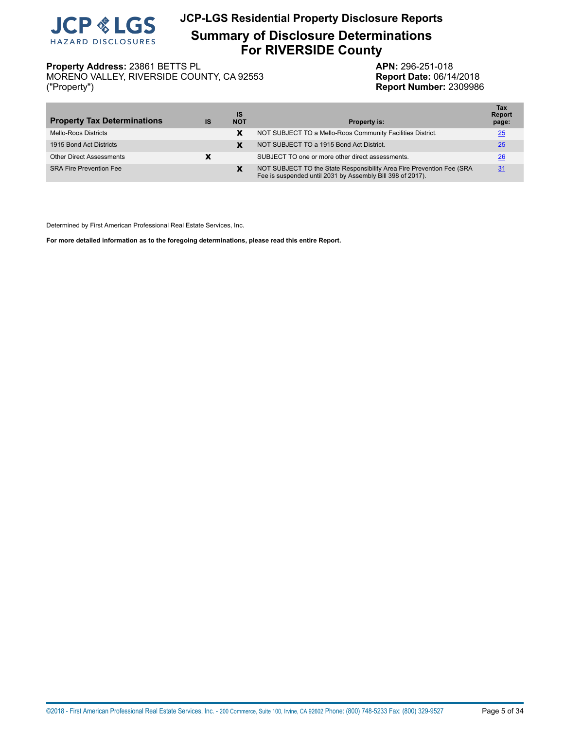

## **JCP-LGS Residential Property Disclosure Reports Summary of Disclosure Determinations For RIVERSIDE County**

MORENO VALLEY, RIVERSIDE COUNTY, CA 92553 ("Property") **Report Number:** 2309986

**Property Address:** 23861 BETTS PL<br>MORENO VALLEY, RIVERSIDE COUNTY, CA 92553 **APN:** 296-251-018

| <b>Property Tax Determinations</b> | IS | IS<br><b>NOT</b> | <b>Property is:</b>                                                                                                                 | Tax<br><b>Report</b><br>page: |
|------------------------------------|----|------------------|-------------------------------------------------------------------------------------------------------------------------------------|-------------------------------|
| Mello-Roos Districts               |    | X                | NOT SUBJECT TO a Mello-Roos Community Facilities District.                                                                          | 25                            |
| 1915 Bond Act Districts            |    | X                | NOT SUBJECT TO a 1915 Bond Act District.                                                                                            | 25                            |
| <b>Other Direct Assessments</b>    |    |                  | SUBJECT TO one or more other direct assessments.                                                                                    | 26                            |
| <b>SRA Fire Prevention Fee</b>     |    | X                | NOT SUBJECT TO the State Responsibility Area Fire Prevention Fee (SRA<br>Fee is suspended until 2031 by Assembly Bill 398 of 2017). | 31                            |

Determined by First American Professional Real Estate Services, Inc.

**For more detailed information as to the foregoing determinations, please read this entire Report.**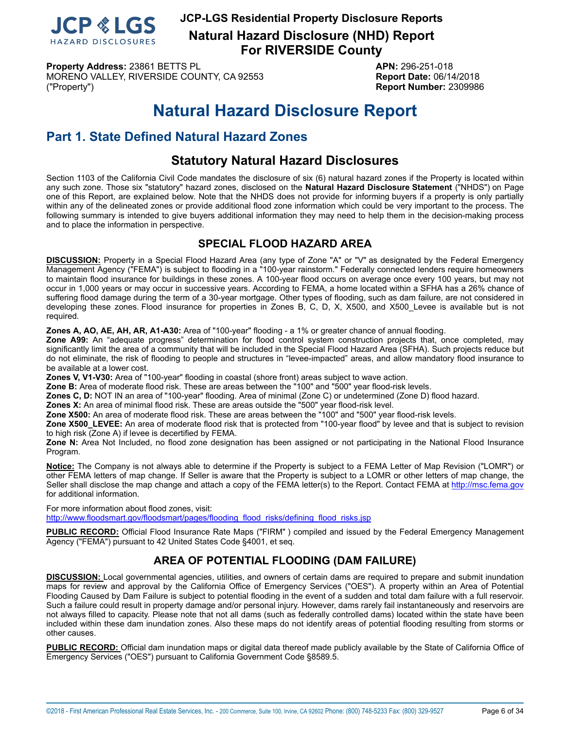

**JCP-LGS Residential Property Disclosure Reports Natural Hazard Disclosure (NHD) Report**

**For RIVERSIDE County**

**Property Address:** 23861 BETTS PL **APN:** 296-251-018 MORENO VALLEY, RIVERSIDE COUNTY, CA 92553 **Report Date:** 06/14/2018 ("Property") **Report Number:** 2309986

## **Natural Hazard Disclosure Report**

## <span id="page-5-0"></span>**Part 1. State Defined Natural Hazard Zones**

## **Statutory Natural Hazard Disclosures**

Section 1103 of the California Civil Code mandates the disclosure of six (6) natural hazard zones if the Property is located within any such zone. Those six "statutory" hazard zones, disclosed on the **Natural Hazard Disclosure Statement** ("NHDS") on Page one of this Report, are explained below. Note that the NHDS does not provide for informing buyers if a property is only partially within any of the delineated zones or provide additional flood zone information which could be very important to the process. The following summary is intended to give buyers additional information they may need to help them in the decision-making process and to place the information in perspective.

## **SPECIAL FLOOD HAZARD AREA**

<span id="page-5-1"></span>**DISCUSSION:** Property in a Special Flood Hazard Area (any type of Zone "A" or "V" as designated by the Federal Emergency Management Agency ("FEMA") is subject to flooding in a "100-year rainstorm." Federally connected lenders require homeowners to maintain flood insurance for buildings in these zones. A 100-year flood occurs on average once every 100 years, but may not occur in 1,000 years or may occur in successive years. According to FEMA, a home located within a SFHA has a 26% chance of suffering flood damage during the term of a 30-year mortgage. Other types of flooding, such as dam failure, are not considered in developing these zones. Flood insurance for properties in Zones B, C, D, X, X500, and X500\_Levee is available but is not required.

**Zones A, AO, AE, AH, AR, A1-A30:** Area of "100-year" flooding - a 1% or greater chance of annual flooding.

**Zone A99:** An "adequate progress" determination for flood control system construction projects that, once completed, may significantly limit the area of a community that will be included in the Special Flood Hazard Area (SFHA). Such projects reduce but do not eliminate, the risk of flooding to people and structures in "levee-impacted" areas, and allow mandatory flood insurance to be available at a lower cost.

**Zones V, V1-V30:** Area of "100-year" flooding in coastal (shore front) areas subject to wave action.

**Zone B:** Area of moderate flood risk. These are areas between the "100" and "500" year flood-risk levels.

**Zones C, D:** NOT IN an area of "100-year" flooding. Area of minimal (Zone C) or undetermined (Zone D) flood hazard.

**Zones X:** An area of minimal flood risk. These are areas outside the "500" year flood-risk level.

**Zone X500:** An area of moderate flood risk. These are areas between the "100" and "500" year flood-risk levels.

**Zone X500\_LEVEE:** An area of moderate flood risk that is protected from "100-year flood" by levee and that is subject to revision to high risk (Zone A) if levee is decertified by FEMA.

**Zone N:** Area Not Included, no flood zone designation has been assigned or not participating in the National Flood Insurance Program.

**Notice:** The Company is not always able to determine if the Property is subject to a FEMA Letter of Map Revision ("LOMR") or other FEMA letters of map change. If Seller is aware that the Property is subject to a LOMR or other letters of map change, the Seller shall disclose the map change and attach a copy of the FEMA letter(s) to the Report. Contact FEMA at<http://msc.fema.gov> for additional information.

For more information about flood zones, visit: [http://www.floodsmart.gov/floodsmart/pages/flooding\\_flood\\_risks/defining\\_flood\\_risks.jsp](http://www.floodsmart.gov/floodsmart/pages/flooding_flood_risks/defining_flood_risks.jsp)

**PUBLIC RECORD:** Official Flood Insurance Rate Maps ("FIRM" ) compiled and issued by the Federal Emergency Management Agency ("FEMA") pursuant to 42 United States Code §4001, et seq.

## **AREA OF POTENTIAL FLOODING (DAM FAILURE)**

<span id="page-5-2"></span>**DISCUSSION:** Local governmental agencies, utilities, and owners of certain dams are required to prepare and submit inundation maps for review and approval by the California Office of Emergency Services ("OES"). A property within an Area of Potential Flooding Caused by Dam Failure is subject to potential flooding in the event of a sudden and total dam failure with a full reservoir. Such a failure could result in property damage and/or personal injury. However, dams rarely fail instantaneously and reservoirs are not always filled to capacity. Please note that not all dams (such as federally controlled dams) located within the state have been included within these dam inundation zones. Also these maps do not identify areas of potential flooding resulting from storms or other causes.

**PUBLIC RECORD:** Official dam inundation maps or digital data thereof made publicly available by the State of California Office of Emergency Services ("OES") pursuant to California Government Code §8589.5.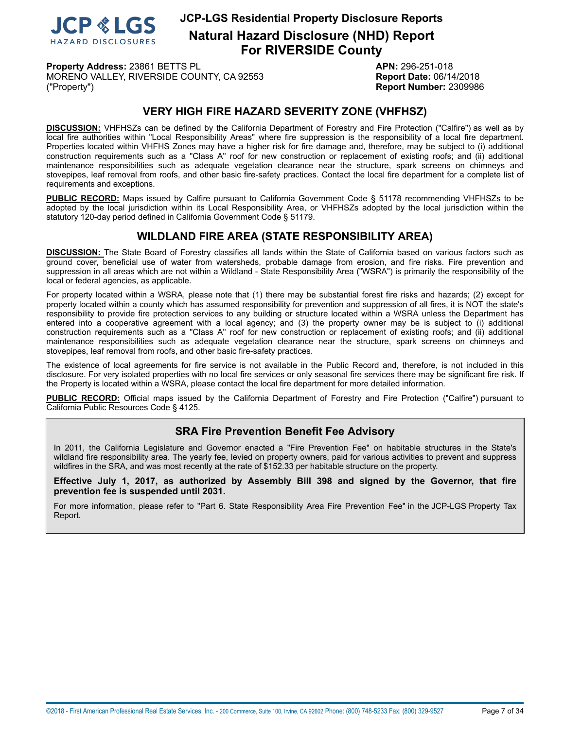

**Property Address:** 23861 BETTS PL **APN:** 296-251-018 MORENO VALLEY, RIVERSIDE COUNTY, CA 92553 **Report Date:** 06/14/2018 ("Property") **Report Number:** 2309986

## **VERY HIGH FIRE HAZARD SEVERITY ZONE (VHFHSZ)**

<span id="page-6-0"></span>**DISCUSSION:** VHFHSZs can be defined by the California Department of Forestry and Fire Protection ("Calfire") as well as by local fire authorities within "Local Responsibility Areas" where fire suppression is the responsibility of a local fire department. Properties located within VHFHS Zones may have a higher risk for fire damage and, therefore, may be subject to (i) additional construction requirements such as a "Class A" roof for new construction or replacement of existing roofs; and (ii) additional maintenance responsibilities such as adequate vegetation clearance near the structure, spark screens on chimneys and stovepipes, leaf removal from roofs, and other basic fire-safety practices. Contact the local fire department for a complete list of requirements and exceptions.

**PUBLIC RECORD:** Maps issued by Calfire pursuant to California Government Code § 51178 recommending VHFHSZs to be adopted by the local jurisdiction within its Local Responsibility Area, or VHFHSZs adopted by the local jurisdiction within the statutory 120-day period defined in California Government Code § 51179.

## **WILDLAND FIRE AREA (STATE RESPONSIBILITY AREA)**

<span id="page-6-1"></span>**DISCUSSION:** The State Board of Forestry classifies all lands within the State of California based on various factors such as ground cover, beneficial use of water from watersheds, probable damage from erosion, and fire risks. Fire prevention and suppression in all areas which are not within a Wildland - State Responsibility Area ("WSRA") is primarily the responsibility of the local or federal agencies, as applicable.

For property located within a WSRA, please note that (1) there may be substantial forest fire risks and hazards; (2) except for property located within a county which has assumed responsibility for prevention and suppression of all fires, it is NOT the state's responsibility to provide fire protection services to any building or structure located within a WSRA unless the Department has entered into a cooperative agreement with a local agency; and (3) the property owner may be is subject to (i) additional construction requirements such as a "Class A" roof for new construction or replacement of existing roofs; and (ii) additional maintenance responsibilities such as adequate vegetation clearance near the structure, spark screens on chimneys and stovepipes, leaf removal from roofs, and other basic fire-safety practices.

The existence of local agreements for fire service is not available in the Public Record and, therefore, is not included in this disclosure. For very isolated properties with no local fire services or only seasonal fire services there may be significant fire risk. If the Property is located within a WSRA, please contact the local fire department for more detailed information.

**PUBLIC RECORD:** Official maps issued by the California Department of Forestry and Fire Protection ("Calfire") pursuant to California Public Resources Code § 4125.

## **SRA Fire Prevention Benefit Fee Advisory**

In 2011, the California Legislature and Governor enacted a "Fire Prevention Fee" on habitable structures in the State's wildland fire responsibility area. The yearly fee, levied on property owners, paid for various activities to prevent and suppress wildfires in the SRA, and was most recently at the rate of \$152.33 per habitable structure on the property.

**Effective July 1, 2017, as authorized by Assembly Bill 398 and signed by the Governor, that fire prevention fee is suspended until 2031.**

For more information, please refer to "Part 6. State Responsibility Area Fire Prevention Fee" in the JCP-LGS Property Tax Report.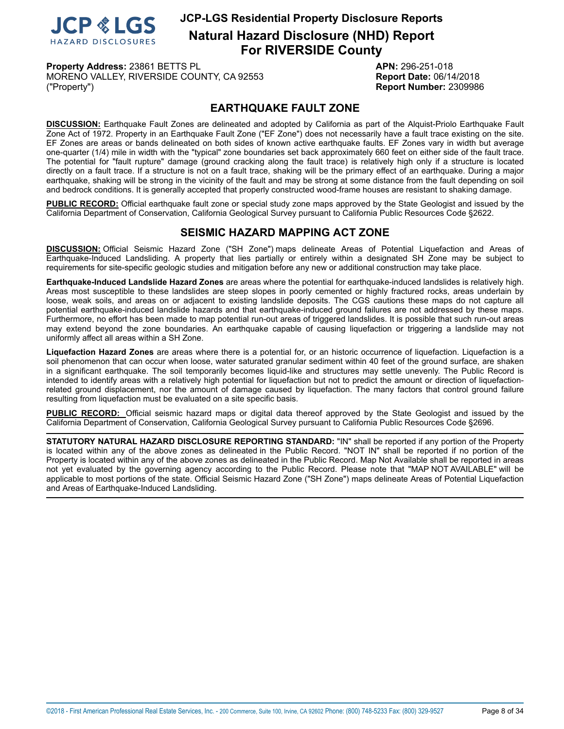

**Property Address:** 23861 BETTS PL **APN:** 296-251-018 MORENO VALLEY, RIVERSIDE COUNTY, CA 92553 **Report Date:** 06/14/2018 ("Property") **Report Number:** 2309986

## **EARTHQUAKE FAULT ZONE**

<span id="page-7-0"></span>**DISCUSSION:** Earthquake Fault Zones are delineated and adopted by California as part of the Alquist-Priolo Earthquake Fault Zone Act of 1972. Property in an Earthquake Fault Zone ("EF Zone") does not necessarily have a fault trace existing on the site. EF Zones are areas or bands delineated on both sides of known active earthquake faults. EF Zones vary in width but average one-quarter (1/4) mile in width with the "typical" zone boundaries set back approximately 660 feet on either side of the fault trace. The potential for "fault rupture" damage (ground cracking along the fault trace) is relatively high only if a structure is located directly on a fault trace. If a structure is not on a fault trace, shaking will be the primary effect of an earthquake. During a major earthquake, shaking will be strong in the vicinity of the fault and may be strong at some distance from the fault depending on soil and bedrock conditions. It is generally accepted that properly constructed wood-frame houses are resistant to shaking damage.

**PUBLIC RECORD:** Official earthquake fault zone or special study zone maps approved by the State Geologist and issued by the California Department of Conservation, California Geological Survey pursuant to California Public Resources Code §2622.

## **SEISMIC HAZARD MAPPING ACT ZONE**

<span id="page-7-1"></span>**DISCUSSION:** Official Seismic Hazard Zone ("SH Zone") maps delineate Areas of Potential Liquefaction and Areas of Earthquake-Induced Landsliding. A property that lies partially or entirely within a designated SH Zone may be subject to requirements for site-specific geologic studies and mitigation before any new or additional construction may take place.

**Earthquake-Induced Landslide Hazard Zones** are areas where the potential for earthquake-induced landslides is relatively high. Areas most susceptible to these landslides are steep slopes in poorly cemented or highly fractured rocks, areas underlain by loose, weak soils, and areas on or adjacent to existing landslide deposits. The CGS cautions these maps do not capture all potential earthquake-induced landslide hazards and that earthquake-induced ground failures are not addressed by these maps. Furthermore, no effort has been made to map potential run-out areas of triggered landslides. It is possible that such run-out areas may extend beyond the zone boundaries. An earthquake capable of causing liquefaction or triggering a landslide may not uniformly affect all areas within a SH Zone.

**Liquefaction Hazard Zones** are areas where there is a potential for, or an historic occurrence of liquefaction. Liquefaction is a soil phenomenon that can occur when loose, water saturated granular sediment within 40 feet of the ground surface, are shaken in a significant earthquake. The soil temporarily becomes liquid-like and structures may settle unevenly. The Public Record is intended to identify areas with a relatively high potential for liquefaction but not to predict the amount or direction of liquefactionrelated ground displacement, nor the amount of damage caused by liquefaction. The many factors that control ground failure resulting from liquefaction must be evaluated on a site specific basis.

**PUBLIC RECORD:** Official seismic hazard maps or digital data thereof approved by the State Geologist and issued by the California Department of Conservation, California Geological Survey pursuant to California Public Resources Code §2696.

**STATUTORY NATURAL HAZARD DISCLOSURE REPORTING STANDARD:** "IN" shall be reported if any portion of the Property is located within any of the above zones as delineated in the Public Record. "NOT IN" shall be reported if no portion of the Property is located within any of the above zones as delineated in the Public Record. Map Not Available shall be reported in areas not yet evaluated by the governing agency according to the Public Record. Please note that "MAP NOT AVAILABLE" will be applicable to most portions of the state. Official Seismic Hazard Zone ("SH Zone") maps delineate Areas of Potential Liquefaction and Areas of Earthquake-Induced Landsliding.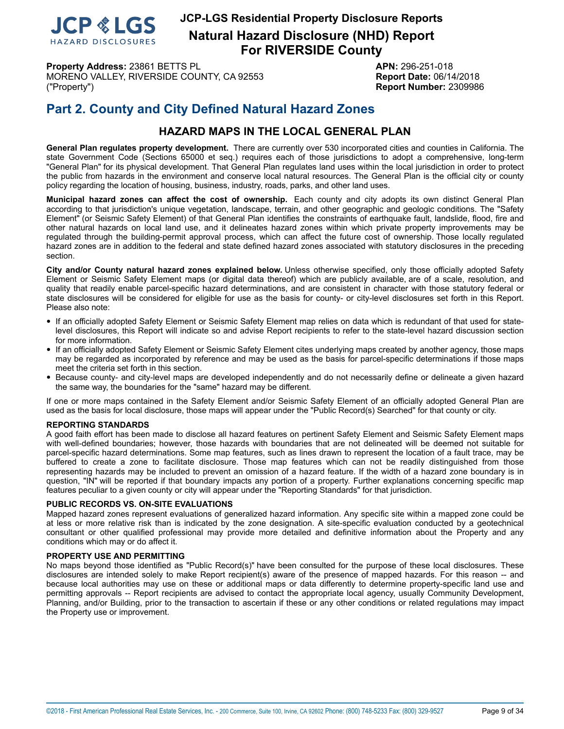

**Property Address:** 23861 BETTS PL **APN:** 296-251-018 MORENO VALLEY, RIVERSIDE COUNTY, CA 92553 **Report Date:** 06/14/2018 ("Property") **Report Number:** 2309986

## **Part 2. County and City Defined Natural Hazard Zones**

## **HAZARD MAPS IN THE LOCAL GENERAL PLAN**

**General Plan regulates property development.** There are currently over 530 incorporated cities and counties in California. The state Government Code (Sections 65000 et seq.) requires each of those jurisdictions to adopt a comprehensive, long-term "General Plan" for its physical development. That General Plan regulates land uses within the local jurisdiction in order to protect the public from hazards in the environment and conserve local natural resources. The General Plan is the official city or county policy regarding the location of housing, business, industry, roads, parks, and other land uses.

**Municipal hazard zones can affect the cost of ownership.** Each county and city adopts its own distinct General Plan according to that jurisdiction's unique vegetation, landscape, terrain, and other geographic and geologic conditions. The "Safety Element" (or Seismic Safety Element) of that General Plan identifies the constraints of earthquake fault, landslide, flood, fire and other natural hazards on local land use, and it delineates hazard zones within which private property improvements may be regulated through the building-permit approval process, which can affect the future cost of ownership. Those locally regulated hazard zones are in addition to the federal and state defined hazard zones associated with statutory disclosures in the preceding section.

**City and/or County natural hazard zones explained below.** Unless otherwise specified, only those officially adopted Safety Element or Seismic Safety Element maps (or digital data thereof) which are publicly available, are of a scale, resolution, and quality that readily enable parcel-specific hazard determinations, and are consistent in character with those statutory federal or state disclosures will be considered for eligible for use as the basis for county- or city-level disclosures set forth in this Report. Please also note:

- If an officially adopted Safety Element or Seismic Safety Element map relies on data which is redundant of that used for statelevel disclosures, this Report will indicate so and advise Report recipients to refer to the state-level hazard discussion section for more information.
- If an officially adopted Safety Element or Seismic Safety Element cites underlying maps created by another agency, those maps may be regarded as incorporated by reference and may be used as the basis for parcel-specific determinations if those maps meet the criteria set forth in this section.
- Because county- and city-level maps are developed independently and do not necessarily define or delineate <sup>a</sup> given hazard the same way, the boundaries for the "same" hazard may be different.

If one or more maps contained in the Safety Element and/or Seismic Safety Element of an officially adopted General Plan are used as the basis for local disclosure, those maps will appear under the "Public Record(s) Searched" for that county or city.

#### **REPORTING STANDARDS**

A good faith effort has been made to disclose all hazard features on pertinent Safety Element and Seismic Safety Element maps with well-defined boundaries; however, those hazards with boundaries that are not delineated will be deemed not suitable for parcel-specific hazard determinations. Some map features, such as lines drawn to represent the location of a fault trace, may be buffered to create a zone to facilitate disclosure. Those map features which can not be readily distinguished from those representing hazards may be included to prevent an omission of a hazard feature. If the width of a hazard zone boundary is in question, "IN" will be reported if that boundary impacts any portion of a property. Further explanations concerning specific map features peculiar to a given county or city will appear under the "Reporting Standards" for that jurisdiction.

#### **PUBLIC RECORDS VS. ON-SITE EVALUATIONS**

Mapped hazard zones represent evaluations of generalized hazard information. Any specific site within a mapped zone could be at less or more relative risk than is indicated by the zone designation. A site-specific evaluation conducted by a geotechnical consultant or other qualified professional may provide more detailed and definitive information about the Property and any conditions which may or do affect it.

#### **PROPERTY USE AND PERMITTING**

No maps beyond those identified as "Public Record(s)" have been consulted for the purpose of these local disclosures. These disclosures are intended solely to make Report recipient(s) aware of the presence of mapped hazards. For this reason -- and because local authorities may use on these or additional maps or data differently to determine property-specific land use and permitting approvals -- Report recipients are advised to contact the appropriate local agency, usually Community Development, Planning, and/or Building, prior to the transaction to ascertain if these or any other conditions or related regulations may impact the Property use or improvement.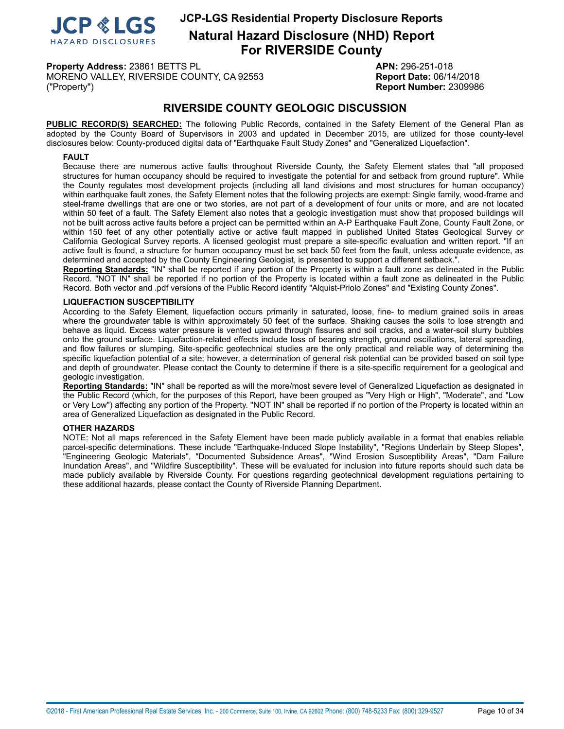

**Natural Hazard Disclosure (NHD) Report For RIVERSIDE County**

**Property Address:** 23861 BETTS PL **APN:** 296-251-018 MORENO VALLEY, RIVERSIDE COUNTY, CA 92553 **Report Date:** 06/14/2018 ("Property") **Report Number:** 2309986

## **RIVERSIDE COUNTY GEOLOGIC DISCUSSION**

**PUBLIC RECORD(S) SEARCHED:** The following Public Records, contained in the Safety Element of the General Plan as adopted by the County Board of Supervisors in 2003 and updated in December 2015, are utilized for those county-level disclosures below: County-produced digital data of "Earthquake Fault Study Zones" and "Generalized Liquefaction".

#### <span id="page-9-0"></span>**FAULT**

Because there are numerous active faults throughout Riverside County, the Safety Element states that "all proposed structures for human occupancy should be required to investigate the potential for and setback from ground rupture". While the County regulates most development projects (including all land divisions and most structures for human occupancy) within earthquake fault zones, the Safety Element notes that the following projects are exempt: Single family, wood-frame and steel-frame dwellings that are one or two stories, are not part of a development of four units or more, and are not located within 50 feet of a fault. The Safety Element also notes that a geologic investigation must show that proposed buildings will not be built across active faults before a project can be permitted within an A-P Earthquake Fault Zone, County Fault Zone, or within 150 feet of any other potentially active or active fault mapped in published United States Geological Survey or California Geological Survey reports. A licensed geologist must prepare a site-specific evaluation and written report. "If an active fault is found, a structure for human occupancy must be set back 50 feet from the fault, unless adequate evidence, as determined and accepted by the County Engineering Geologist, is presented to support a different setback.".

**Reporting Standards:** "IN" shall be reported if any portion of the Property is within a fault zone as delineated in the Public Record. "NOT IN" shall be reported if no portion of the Property is located within a fault zone as delineated in the Public Record. Both vector and .pdf versions of the Public Record identify "Alquist-Priolo Zones" and "Existing County Zones".

#### <span id="page-9-1"></span>**LIQUEFACTION SUSCEPTIBILITY**

According to the Safety Element, liquefaction occurs primarily in saturated, loose, fine- to medium grained soils in areas where the groundwater table is within approximately 50 feet of the surface. Shaking causes the soils to lose strength and behave as liquid. Excess water pressure is vented upward through fissures and soil cracks, and a water-soil slurry bubbles onto the ground surface. Liquefaction-related effects include loss of bearing strength, ground oscillations, lateral spreading, and flow failures or slumping. Site-specific geotechnical studies are the only practical and reliable way of determining the specific liquefaction potential of a site; however, a determination of general risk potential can be provided based on soil type and depth of groundwater. Please contact the County to determine if there is a site-specific requirement for a geological and geologic investigation.

**Reporting Standards:** "IN" shall be reported as will the more/most severe level of Generalized Liquefaction as designated in the Public Record (which, for the purposes of this Report, have been grouped as "Very High or High", "Moderate", and "Low or Very Low") affecting any portion of the Property. "NOT IN" shall be reported if no portion of the Property is located within an area of Generalized Liquefaction as designated in the Public Record.

#### **OTHER HAZARDS**

NOTE: Not all maps referenced in the Safety Element have been made publicly available in a format that enables reliable parcel-specific determinations. These include "Earthquake-Induced Slope Instability", "Regions Underlain by Steep Slopes", "Engineering Geologic Materials", "Documented Subsidence Areas", "Wind Erosion Susceptibility Areas", "Dam Failure Inundation Areas", and "Wildfire Susceptibility". These will be evaluated for inclusion into future reports should such data be made publicly available by Riverside County. For questions regarding geotechnical development regulations pertaining to these additional hazards, please contact the County of Riverside Planning Department.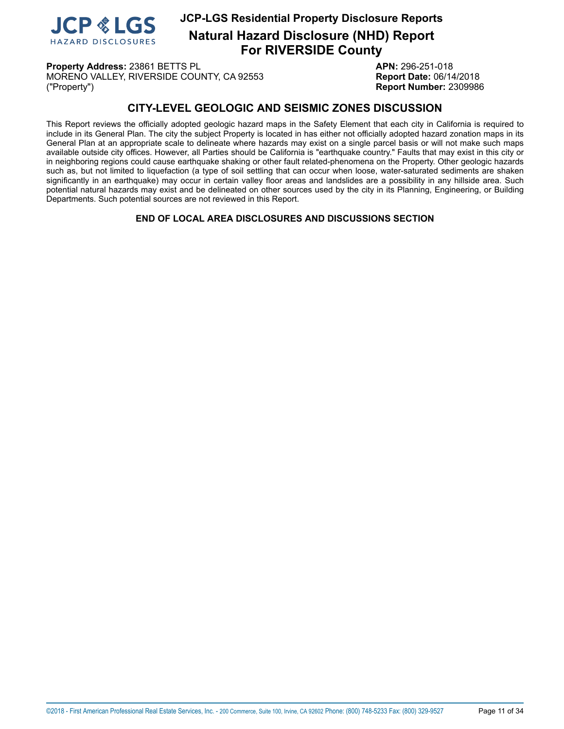

**Natural Hazard Disclosure (NHD) Report For RIVERSIDE County**

**Property Address:** 23861 BETTS PL **APN:** 296-251-018 MORENO VALLEY, RIVERSIDE COUNTY, CA 92553 **Report Date:** 06/14/2018 ("Property") **Report Number:** 2309986

## **CITY-LEVEL GEOLOGIC AND SEISMIC ZONES DISCUSSION**

This Report reviews the officially adopted geologic hazard maps in the Safety Element that each city in California is required to include in its General Plan. The city the subject Property is located in has either not officially adopted hazard zonation maps in its General Plan at an appropriate scale to delineate where hazards may exist on a single parcel basis or will not make such maps available outside city offices. However, all Parties should be California is "earthquake country." Faults that may exist in this city or in neighboring regions could cause earthquake shaking or other fault related-phenomena on the Property. Other geologic hazards such as, but not limited to liquefaction (a type of soil settling that can occur when loose, water-saturated sediments are shaken significantly in an earthquake) may occur in certain valley floor areas and landslides are a possibility in any hillside area. Such potential natural hazards may exist and be delineated on other sources used by the city in its Planning, Engineering, or Building Departments. Such potential sources are not reviewed in this Report.

**END OF LOCAL AREA DISCLOSURES AND DISCUSSIONS SECTION**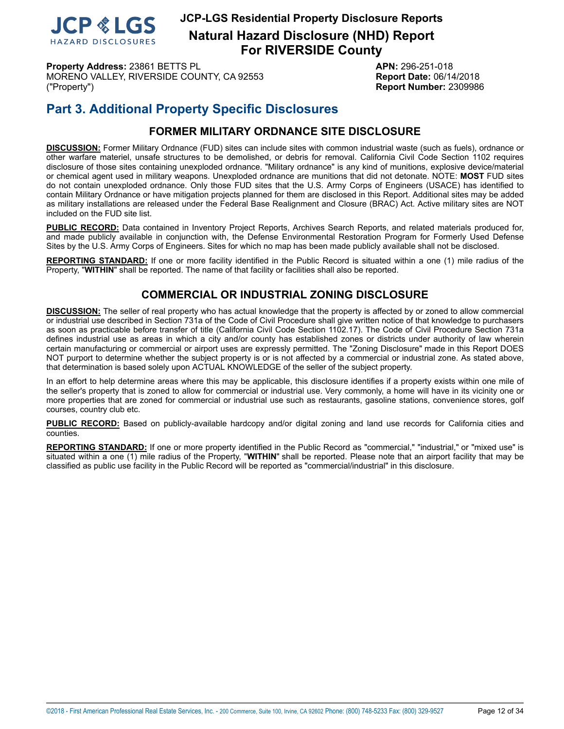

**Property Address:** 23861 BETTS PL **APN:** 296-251-018 MORENO VALLEY, RIVERSIDE COUNTY, CA 92553 **Report Date:** 06/14/2018 ("Property") **Report Number:** 2309986

## **Part 3. Additional Property Specific Disclosures**

## **FORMER MILITARY ORDNANCE SITE DISCLOSURE**

<span id="page-11-0"></span>**DISCUSSION:** Former Military Ordnance (FUD) sites can include sites with common industrial waste (such as fuels), ordnance or other warfare materiel, unsafe structures to be demolished, or debris for removal. California Civil Code Section 1102 requires disclosure of those sites containing unexploded ordnance. "Military ordnance" is any kind of munitions, explosive device/material or chemical agent used in military weapons. Unexploded ordnance are munitions that did not detonate. NOTE: **MOST** FUD sites do not contain unexploded ordnance. Only those FUD sites that the U.S. Army Corps of Engineers (USACE) has identified to contain Military Ordnance or have mitigation projects planned for them are disclosed in this Report. Additional sites may be added as military installations are released under the Federal Base Realignment and Closure (BRAC) Act. Active military sites are NOT included on the FUD site list.

**PUBLIC RECORD:** Data contained in Inventory Project Reports, Archives Search Reports, and related materials produced for, and made publicly available in conjunction with, the Defense Environmental Restoration Program for Formerly Used Defense Sites by the U.S. Army Corps of Engineers. Sites for which no map has been made publicly available shall not be disclosed.

<span id="page-11-1"></span>**REPORTING STANDARD:** If one or more facility identified in the Public Record is situated within a one (1) mile radius of the Property, "**WITHIN**" shall be reported. The name of that facility or facilities shall also be reported.

## **COMMERCIAL OR INDUSTRIAL ZONING DISCLOSURE**

**DISCUSSION:** The seller of real property who has actual knowledge that the property is affected by or zoned to allow commercial or industrial use described in Section 731a of the Code of Civil Procedure shall give written notice of that knowledge to purchasers as soon as practicable before transfer of title (California Civil Code Section 1102.17). The Code of Civil Procedure Section 731a defines industrial use as areas in which a city and/or county has established zones or districts under authority of law wherein certain manufacturing or commercial or airport uses are expressly permitted. The "Zoning Disclosure" made in this Report DOES NOT purport to determine whether the subject property is or is not affected by a commercial or industrial zone. As stated above, that determination is based solely upon ACTUAL KNOWLEDGE of the seller of the subject property.

In an effort to help determine areas where this may be applicable, this disclosure identifies if a property exists within one mile of the seller's property that is zoned to allow for commercial or industrial use. Very commonly, a home will have in its vicinity one or more properties that are zoned for commercial or industrial use such as restaurants, gasoline stations, convenience stores, golf courses, country club etc.

**PUBLIC RECORD:** Based on publicly-available hardcopy and/or digital zoning and land use records for California cities and counties.

**REPORTING STANDARD:** If one or more property identified in the Public Record as "commercial," "industrial," or "mixed use" is situated within a one (1) mile radius of the Property, "**WITHIN**" shall be reported. Please note that an airport facility that may be classified as public use facility in the Public Record will be reported as "commercial/industrial" in this disclosure.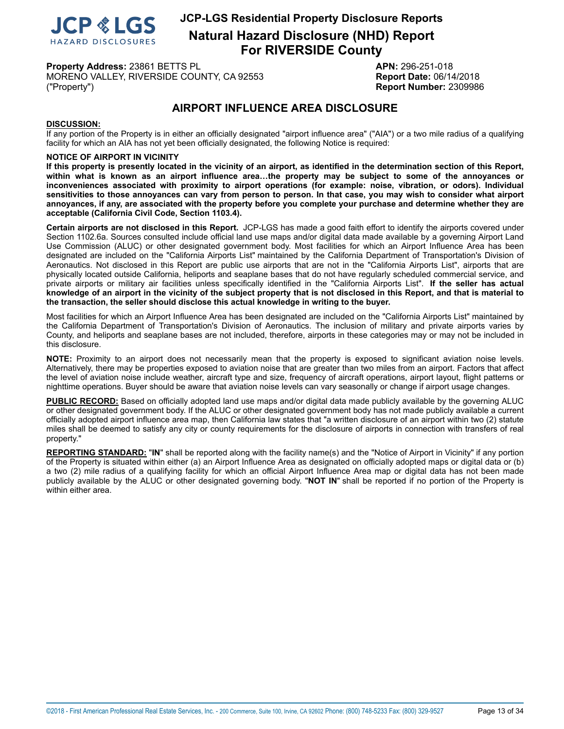

**Natural Hazard Disclosure (NHD) Report For RIVERSIDE County**

**Property Address:** 23861 BETTS PL **APN:** 296-251-018 MORENO VALLEY, RIVERSIDE COUNTY, CA 92553 **Report Date:** 06/14/2018 ("Property") **Report Number:** 2309986

## **AIRPORT INFLUENCE AREA DISCLOSURE**

#### <span id="page-12-0"></span>**DISCUSSION:**

If any portion of the Property is in either an officially designated "airport influence area" ("AIA") or a two mile radius of a qualifying facility for which an AIA has not yet been officially designated, the following Notice is required:

#### **NOTICE OF AIRPORT IN VICINITY**

If this property is presently located in the vicinity of an airport, as identified in the determination section of this Report, within what is known as an airport influence area...the property may be subject to some of the annoyances or **inconveniences associated with proximity to airport operations (for example: noise, vibration, or odors). Individual** sensitivities to those annoyances can vary from person to person. In that case, you may wish to consider what airport annoyances, if any, are associated with the property before you complete your purchase and determine whether they are **acceptable (California Civil Code, Section 1103.4).**

**Certain airports are not disclosed in this Report.** JCP-LGS has made a good faith effort to identify the airports covered under Section 1102.6a. Sources consulted include official land use maps and/or digital data made available by a governing Airport Land Use Commission (ALUC) or other designated government body. Most facilities for which an Airport Influence Area has been designated are included on the "California Airports List" maintained by the California Department of Transportation's Division of Aeronautics. Not disclosed in this Report are public use airports that are not in the "California Airports List", airports that are physically located outside California, heliports and seaplane bases that do not have regularly scheduled commercial service, and private airports or military air facilities unless specifically identified in the "California Airports List". **If the seller has actual** knowledge of an airport in the vicinity of the subject property that is not disclosed in this Report, and that is material to **the transaction, the seller should disclose this actual knowledge in writing to the buyer.**

Most facilities for which an Airport Influence Area has been designated are included on the "California Airports List" maintained by the California Department of Transportation's Division of Aeronautics. The inclusion of military and private airports varies by County, and heliports and seaplane bases are not included, therefore, airports in these categories may or may not be included in this disclosure.

**NOTE:** Proximity to an airport does not necessarily mean that the property is exposed to significant aviation noise levels. Alternatively, there may be properties exposed to aviation noise that are greater than two miles from an airport. Factors that affect the level of aviation noise include weather, aircraft type and size, frequency of aircraft operations, airport layout, flight patterns or nighttime operations. Buyer should be aware that aviation noise levels can vary seasonally or change if airport usage changes.

**PUBLIC RECORD:** Based on officially adopted land use maps and/or digital data made publicly available by the governing ALUC or other designated government body. If the ALUC or other designated government body has not made publicly available a current officially adopted airport influence area map, then California law states that "a written disclosure of an airport within two (2) statute miles shall be deemed to satisfy any city or county requirements for the disclosure of airports in connection with transfers of real property."

**REPORTING STANDARD:** "**IN**" shall be reported along with the facility name(s) and the "Notice of Airport in Vicinity" if any portion of the Property is situated within either (a) an Airport Influence Area as designated on officially adopted maps or digital data or (b) a two (2) mile radius of a qualifying facility for which an official Airport Influence Area map or digital data has not been made publicly available by the ALUC or other designated governing body. "**NOT IN**" shall be reported if no portion of the Property is within either area.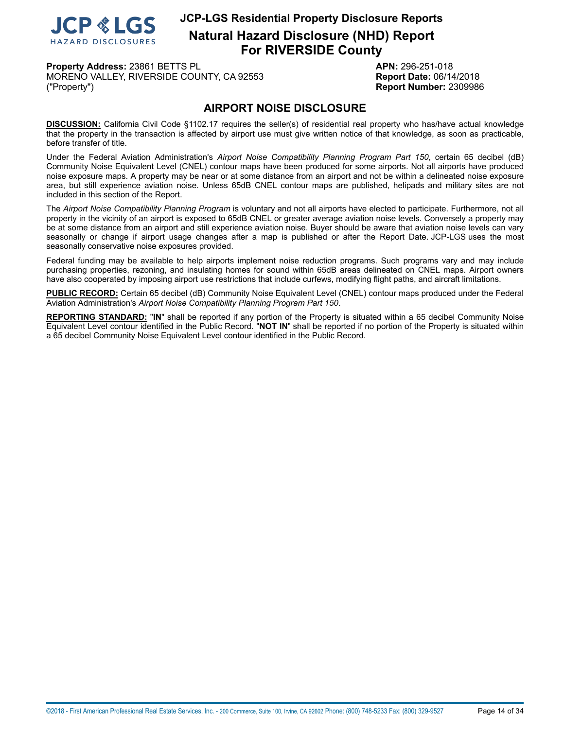

**Property Address:** 23861 BETTS PL **APN:** 296-251-018 MORENO VALLEY, RIVERSIDE COUNTY, CA 92553 **Report Date:** 06/14/2018 ("Property") **Report Number:** 2309986

## **AIRPORT NOISE DISCLOSURE**

<span id="page-13-0"></span>**DISCUSSION:** California Civil Code §1102.17 requires the seller(s) of residential real property who has/have actual knowledge that the property in the transaction is affected by airport use must give written notice of that knowledge, as soon as practicable, before transfer of title.

Under the Federal Aviation Administration's *Airport Noise Compatibility Planning Program Part 150*, certain 65 decibel (dB) Community Noise Equivalent Level (CNEL) contour maps have been produced for some airports. Not all airports have produced noise exposure maps. A property may be near or at some distance from an airport and not be within a delineated noise exposure area, but still experience aviation noise. Unless 65dB CNEL contour maps are published, helipads and military sites are not included in this section of the Report.

The *Airport Noise Compatibility Planning Program* is voluntary and not all airports have elected to participate. Furthermore, not all property in the vicinity of an airport is exposed to 65dB CNEL or greater average aviation noise levels. Conversely a property may be at some distance from an airport and still experience aviation noise. Buyer should be aware that aviation noise levels can vary seasonally or change if airport usage changes after a map is published or after the Report Date. JCP-LGS uses the most seasonally conservative noise exposures provided.

Federal funding may be available to help airports implement noise reduction programs. Such programs vary and may include purchasing properties, rezoning, and insulating homes for sound within 65dB areas delineated on CNEL maps. Airport owners have also cooperated by imposing airport use restrictions that include curfews, modifying flight paths, and aircraft limitations.

**PUBLIC RECORD:** Certain 65 decibel (dB) Community Noise Equivalent Level (CNEL) contour maps produced under the Federal Aviation Administration's *Airport Noise Compatibility Planning Program Part 150*.

**REPORTING STANDARD:** "**IN**" shall be reported if any portion of the Property is situated within a 65 decibel Community Noise Equivalent Level contour identified in the Public Record. "**NOT IN**" shall be reported if no portion of the Property is situated within a 65 decibel Community Noise Equivalent Level contour identified in the Public Record.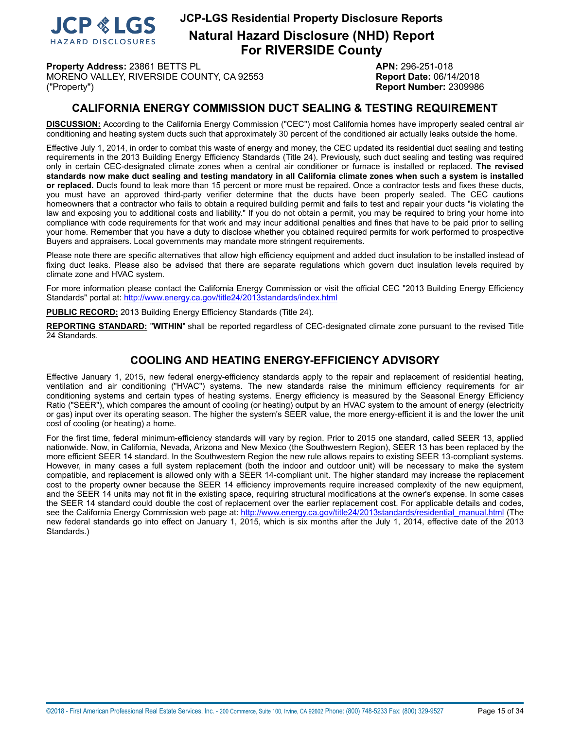

**Natural Hazard Disclosure (NHD) Report For RIVERSIDE County**

**Property Address:** 23861 BETTS PL **APN:** 296-251-018 MORENO VALLEY, RIVERSIDE COUNTY, CA 92553 **Report Date:** 06/14/2018 ("Property") **Report Number:** 2309986

## **CALIFORNIA ENERGY COMMISSION DUCT SEALING & TESTING REQUIREMENT**

<span id="page-14-0"></span>**DISCUSSION:** According to the California Energy Commission ("CEC") most California homes have improperly sealed central air conditioning and heating system ducts such that approximately 30 percent of the conditioned air actually leaks outside the home.

Effective July 1, 2014, in order to combat this waste of energy and money, the CEC updated its residential duct sealing and testing requirements in the 2013 Building Energy Efficiency Standards (Title 24). Previously, such duct sealing and testing was required only in certain CEC-designated climate zones when a central air conditioner or furnace is installed or replaced. **The revised** standards now make duct sealing and testing mandatory in all California climate zones when such a system is installed **or replaced.** Ducts found to leak more than 15 percent or more must be repaired. Once a contractor tests and fixes these ducts, you must have an approved third-party verifier determine that the ducts have been properly sealed. The CEC cautions homeowners that a contractor who fails to obtain a required building permit and fails to test and repair your ducts "is violating the law and exposing you to additional costs and liability." If you do not obtain a permit, you may be required to bring your home into compliance with code requirements for that work and may incur additional penalties and fines that have to be paid prior to selling your home. Remember that you have a duty to disclose whether you obtained required permits for work performed to prospective Buyers and appraisers. Local governments may mandate more stringent requirements.

Please note there are specific alternatives that allow high efficiency equipment and added duct insulation to be installed instead of fixing duct leaks. Please also be advised that there are separate regulations which govern duct insulation levels required by climate zone and HVAC system.

For more information please contact the California Energy Commission or visit the official CEC "2013 Building Energy Efficiency Standards" portal at: <http://www.energy.ca.gov/title24/2013standards/index.html>

**PUBLIC RECORD:** 2013 Building Energy Efficiency Standards (Title 24).

**REPORTING STANDARD:** "**WITHIN**" shall be reported regardless of CEC-designated climate zone pursuant to the revised Title 24 Standards.

## **COOLING AND HEATING ENERGY-EFFICIENCY ADVISORY**

Effective January 1, 2015, new federal energy-efficiency standards apply to the repair and replacement of residential heating, ventilation and air conditioning ("HVAC") systems. The new standards raise the minimum efficiency requirements for air conditioning systems and certain types of heating systems. Energy efficiency is measured by the Seasonal Energy Efficiency Ratio ("SEER"), which compares the amount of cooling (or heating) output by an HVAC system to the amount of energy (electricity or gas) input over its operating season. The higher the system's SEER value, the more energy-efficient it is and the lower the unit cost of cooling (or heating) a home.

For the first time, federal minimum-efficiency standards will vary by region. Prior to 2015 one standard, called SEER 13, applied nationwide. Now, in California, Nevada, Arizona and New Mexico (the Southwestern Region), SEER 13 has been replaced by the more efficient SEER 14 standard. In the Southwestern Region the new rule allows repairs to existing SEER 13-compliant systems. However, in many cases a full system replacement (both the indoor and outdoor unit) will be necessary to make the system compatible, and replacement is allowed only with a SEER 14-compliant unit. The higher standard may increase the replacement cost to the property owner because the SEER 14 efficiency improvements require increased complexity of the new equipment, and the SEER 14 units may not fit in the existing space, requiring structural modifications at the owner's expense. In some cases the SEER 14 standard could double the cost of replacement over the earlier replacement cost. For applicable details and codes, see the California Energy Commission web page at: [http://www.energy.ca.gov/title24/2013standards/residential\\_manual.html](http://www.energy.ca.gov/title24/2013standards/residential_manual.html) (The new federal standards go into effect on January 1, 2015, which is six months after the July 1, 2014, effective date of the 2013 Standards.)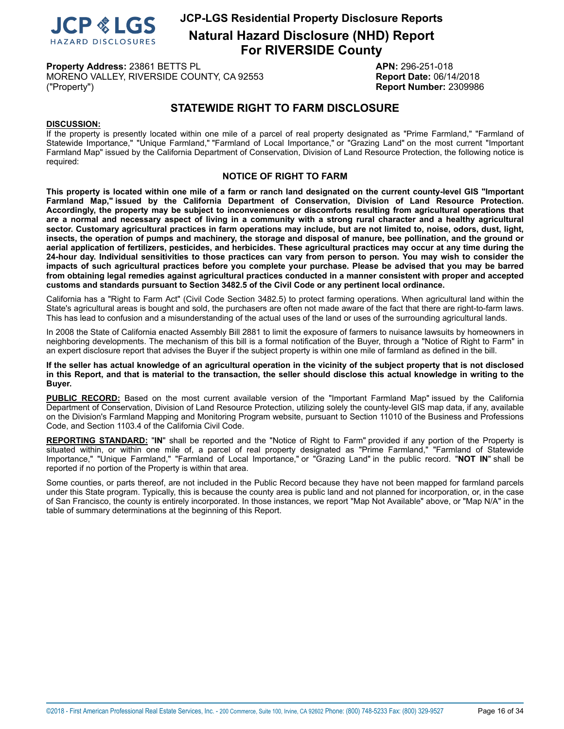

**Natural Hazard Disclosure (NHD) Report For RIVERSIDE County**

**Property Address:** 23861 BETTS PL **APN:** 296-251-018 MORENO VALLEY, RIVERSIDE COUNTY, CA 92553 **Report Date:** 06/14/2018 ("Property") **Report Number:** 2309986

## **STATEWIDE RIGHT TO FARM DISCLOSURE**

#### <span id="page-15-0"></span>**DISCUSSION:**

If the property is presently located within one mile of a parcel of real property designated as "Prime Farmland," "Farmland of Statewide Importance," "Unique Farmland," "Farmland of Local Importance," or "Grazing Land" on the most current "Important Farmland Map" issued by the California Department of Conservation, Division of Land Resource Protection, the following notice is required:

#### **NOTICE OF RIGHT TO FARM**

This property is located within one mile of a farm or ranch land designated on the current county-level GIS "Important **Farmland Map," issued by the California Department of Conservation, Division of Land Resource Protection. Accordingly, the property may be subject to inconveniences or discomforts resulting from agricultural operations that** are a normal and necessary aspect of living in a community with a strong rural character and a healthy agricultural sector. Customary agricultural practices in farm operations may include, but are not limited to, noise, odors, dust, light, insects, the operation of pumps and machinery, the storage and disposal of manure, bee pollination, and the ground or aerial application of fertilizers, pesticides, and herbicides. These agricultural practices may occur at any time during the 24-hour day. Individual sensitivities to those practices can vary from person to person. You may wish to consider the impacts of such agricultural practices before you complete your purchase. Please be advised that you may be barred from obtaining legal remedies against agricultural practices conducted in a manner consistent with proper and accepted **customs and standards pursuant to Section 3482.5 of the Civil Code or any pertinent local ordinance.**

California has a "Right to Farm Act" (Civil Code Section 3482.5) to protect farming operations. When agricultural land within the State's agricultural areas is bought and sold, the purchasers are often not made aware of the fact that there are right-to-farm laws. This has lead to confusion and a misunderstanding of the actual uses of the land or uses of the surrounding agricultural lands.

In 2008 the State of California enacted Assembly Bill 2881 to limit the exposure of farmers to nuisance lawsuits by homeowners in neighboring developments. The mechanism of this bill is a formal notification of the Buyer, through a "Notice of Right to Farm" in an expert disclosure report that advises the Buyer if the subject property is within one mile of farmland as defined in the bill.

#### If the seller has actual knowledge of an agricultural operation in the vicinity of the subject property that is not disclosed in this Report, and that is material to the transaction, the seller should disclose this actual knowledge in writing to the **Buyer.**

**PUBLIC RECORD:** Based on the most current available version of the "Important Farmland Map" issued by the California Department of Conservation, Division of Land Resource Protection, utilizing solely the county-level GIS map data, if any, available on the Division's Farmland Mapping and Monitoring Program website, pursuant to Section 11010 of the Business and Professions Code, and Section 1103.4 of the California Civil Code.

**REPORTING STANDARD:** "**IN**" shall be reported and the "Notice of Right to Farm" provided if any portion of the Property is situated within, or within one mile of, a parcel of real property designated as "Prime Farmland," "Farmland of Statewide Importance," "Unique Farmland," "Farmland of Local Importance," or "Grazing Land" in the public record. "**NOT IN**" shall be reported if no portion of the Property is within that area.

Some counties, or parts thereof, are not included in the Public Record because they have not been mapped for farmland parcels under this State program. Typically, this is because the county area is public land and not planned for incorporation, or, in the case of San Francisco, the county is entirely incorporated. In those instances, we report "Map Not Available" above, or "Map N/A" in the table of summary determinations at the beginning of this Report.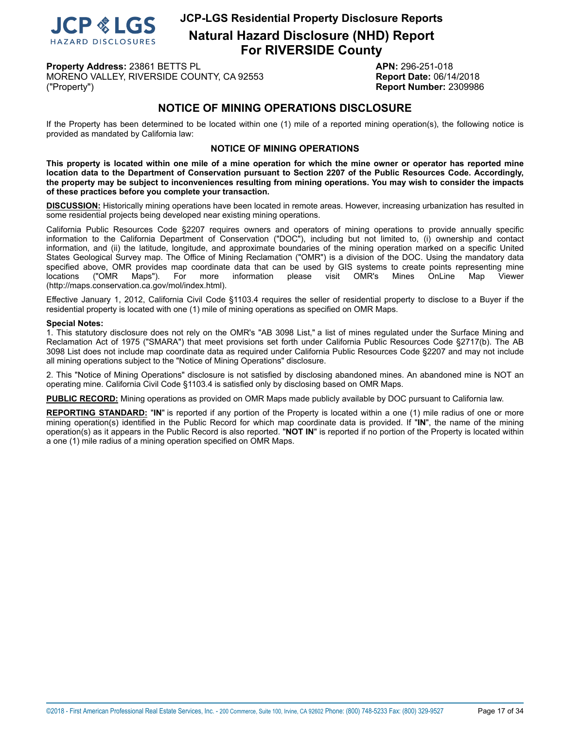

**Property Address:** 23861 BETTS PL **APN:** 296-251-018 MORENO VALLEY, RIVERSIDE COUNTY, CA 92553 **Report Date:** 06/14/2018 ("Property") **Report Number:** 2309986

## **NOTICE OF MINING OPERATIONS DISCLOSURE**

<span id="page-16-0"></span>If the Property has been determined to be located within one (1) mile of a reported mining operation(s), the following notice is provided as mandated by California law:

#### **NOTICE OF MINING OPERATIONS**

This property is located within one mile of a mine operation for which the mine owner or operator has reported mine location data to the Department of Conservation pursuant to Section 2207 of the Public Resources Code. Accordingly, the property may be subject to inconveniences resulting from mining operations. You may wish to consider the impacts **of these practices before you complete your transaction.**

**DISCUSSION:** Historically mining operations have been located in remote areas. However, increasing urbanization has resulted in some residential projects being developed near existing mining operations.

California Public Resources Code §2207 requires owners and operators of mining operations to provide annually specific information to the California Department of Conservation ("DOC"), including but not limited to, (i) ownership and contact information, and (ii) the latitude, longitude, and approximate boundaries of the mining operation marked on a specific United States Geological Survey map. The Office of Mining Reclamation ("OMR") is a division of the DOC. Using the mandatory data specified above, OMR provides map coordinate data that can be used by GIS systems to create points representing mine<br>locations ("OMR Maps"). For more information please visit OMR's Mines OnLine Map Viewer locations ("OMR Maps"). For more information please visit OMR's Mines OnLine Map Viewer (http://maps.conservation.ca.gov/mol/index.html).

Effective January 1, 2012, California Civil Code §1103.4 requires the seller of residential property to disclose to a Buyer if the residential property is located with one (1) mile of mining operations as specified on OMR Maps.

#### **Special Notes:**

1. This statutory disclosure does not rely on the OMR's "AB 3098 List," a list of mines regulated under the Surface Mining and Reclamation Act of 1975 ("SMARA") that meet provisions set forth under California Public Resources Code §2717(b). The AB 3098 List does not include map coordinate data as required under California Public Resources Code §2207 and may not include all mining operations subject to the "Notice of Mining Operations" disclosure.

2. This "Notice of Mining Operations" disclosure is not satisfied by disclosing abandoned mines. An abandoned mine is NOT an operating mine. California Civil Code §1103.4 is satisfied only by disclosing based on OMR Maps.

**PUBLIC RECORD:** Mining operations as provided on OMR Maps made publicly available by DOC pursuant to California law.

**REPORTING STANDARD:** "**IN**" is reported if any portion of the Property is located within a one (1) mile radius of one or more mining operation(s) identified in the Public Record for which map coordinate data is provided. If "**IN**", the name of the mining operation(s) as it appears in the Public Record is also reported. "**NOT IN**" is reported if no portion of the Property is located within a one (1) mile radius of a mining operation specified on OMR Maps.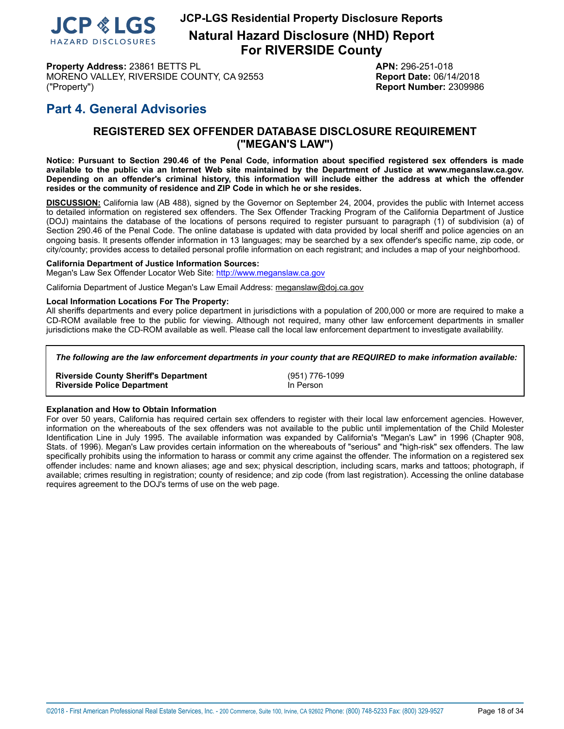

**Natural Hazard Disclosure (NHD) Report For RIVERSIDE County**

**Property Address:** 23861 BETTS PL **APN:** 296-251-018 MORENO VALLEY, RIVERSIDE COUNTY, CA 92553 **Report Date:** 06/14/2018 ("Property") **Report Number:** 2309986

## <span id="page-17-0"></span>**Part 4. General Advisories**

## **REGISTERED SEX OFFENDER DATABASE DISCLOSURE REQUIREMENT ("MEGAN'S LAW")**

Notice: Pursuant to Section 290.46 of the Penal Code, information about specified registered sex offenders is made available to the public via an Internet Web site maintained by the Department of Justice at www.meganslaw.ca.gov. Depending on an offender's criminal history, this information will include either the address at which the offender **resides or the community of residence and ZIP Code in which he or she resides.**

**DISCUSSION:** California law (AB 488), signed by the Governor on September 24, 2004, provides the public with Internet access to detailed information on registered sex offenders. The Sex Offender Tracking Program of the California Department of Justice (DOJ) maintains the database of the locations of persons required to register pursuant to paragraph (1) of subdivision (a) of Section 290.46 of the Penal Code. The online database is updated with data provided by local sheriff and police agencies on an ongoing basis. It presents offender information in 13 languages; may be searched by a sex offender's specific name, zip code, or city/county; provides access to detailed personal profile information on each registrant; and includes a map of your neighborhood.

#### **California Department of Justice Information Sources:**

Megan's Law Sex Offender Locator Web Site: <http://www.meganslaw.ca.gov>

California Department of Justice Megan's Law Email Address: meganslaw@doj.ca.gov

#### **Local Information Locations For The Property:**

All sheriffs departments and every police department in jurisdictions with a population of 200,000 or more are required to make a CD-ROM available free to the public for viewing. Although not required, many other law enforcement departments in smaller jurisdictions make the CD-ROM available as well. Please call the local law enforcement department to investigate availability.

*The following are the law enforcement departments in your county that are REQUIRED to make information available:*

**Riverside County Sheriff's Department** (951) 776-1099 **Riverside Police Department** 

#### **Explanation and How to Obtain Information**

For over 50 years, California has required certain sex offenders to register with their local law enforcement agencies. However, information on the whereabouts of the sex offenders was not available to the public until implementation of the Child Molester Identification Line in July 1995. The available information was expanded by California's "Megan's Law" in 1996 (Chapter 908, Stats. of 1996). Megan's Law provides certain information on the whereabouts of "serious" and "high-risk" sex offenders. The law specifically prohibits using the information to harass or commit any crime against the offender. The information on a registered sex offender includes: name and known aliases; age and sex; physical description, including scars, marks and tattoos; photograph, if available; crimes resulting in registration; county of residence; and zip code (from last registration). Accessing the online database requires agreement to the DOJ's terms of use on the web page.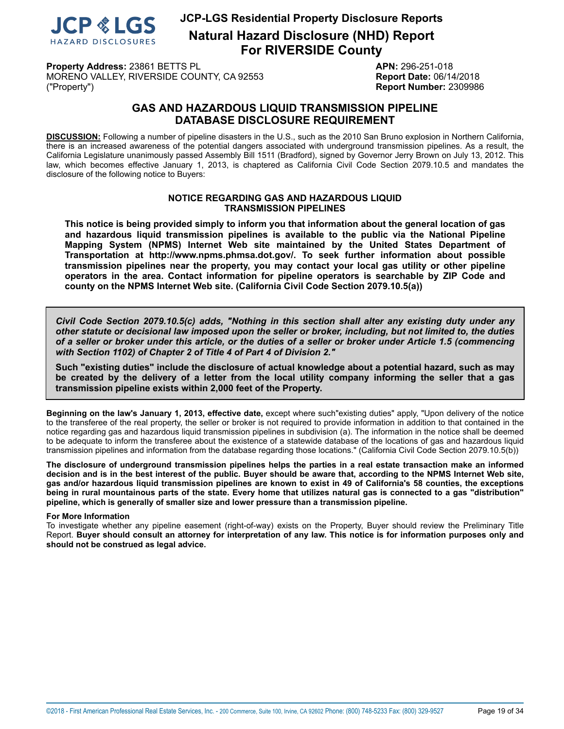

**Natural Hazard Disclosure (NHD) Report For RIVERSIDE County**

**Property Address:** 23861 BETTS PL **APN:** 296-251-018 MORENO VALLEY, RIVERSIDE COUNTY, CA 92553 **Report Date:** 06/14/2018 ("Property") **Report Number:** 2309986

## **GAS AND HAZARDOUS LIQUID TRANSMISSION PIPELINE DATABASE DISCLOSURE REQUIREMENT**

<span id="page-18-0"></span>**DISCUSSION:** Following a number of pipeline disasters in the U.S., such as the 2010 San Bruno explosion in Northern California, there is an increased awareness of the potential dangers associated with underground transmission pipelines. As a result, the California Legislature unanimously passed Assembly Bill 1511 (Bradford), signed by Governor Jerry Brown on July 13, 2012. This law, which becomes effective January 1, 2013, is chaptered as California Civil Code Section 2079.10.5 and mandates the disclosure of the following notice to Buyers:

#### **NOTICE REGARDING GAS AND HAZARDOUS LIQUID TRANSMISSION PIPELINES**

**This notice is being provided simply to inform you that information about the general location of gas and hazardous liquid transmission pipelines is available to the public via the National Pipeline Mapping System (NPMS) Internet Web site maintained by the United States Department of Transportation at http://www.npms.phmsa.dot.gov/. To seek further information about possible transmission pipelines near the property, you may contact your local gas utility or other pipeline operators in the area. Contact information for pipeline operators is searchable by ZIP Code and county on the NPMS Internet Web site. (California Civil Code Section 2079.10.5(a))**

*Civil Code Section 2079.10.5(c) adds, "Nothing in this section shall alter any existing duty under any* other statute or decisional law imposed upon the seller or broker, including, but not limited to, the duties of a seller or broker under this article, or the duties of a seller or broker under Article 1.5 (commencing *with Section 1102) of Chapter 2 of Title 4 of Part 4 of Division 2."*

**Such "existing duties" include the disclosure of actual knowledge about a potential hazard, such as may** be created by the delivery of a letter from the local utility company informing the seller that a gas **transmission pipeline exists within 2,000 feet of the Property.**

**Beginning on the law's January 1, 2013, effective date,** except where such"existing duties" apply, "Upon delivery of the notice to the transferee of the real property, the seller or broker is not required to provide information in addition to that contained in the notice regarding gas and hazardous liquid transmission pipelines in subdivision (a). The information in the notice shall be deemed to be adequate to inform the transferee about the existence of a statewide database of the locations of gas and hazardous liquid transmission pipelines and information from the database regarding those locations." (California Civil Code Section 2079.10.5(b))

The disclosure of underground transmission pipelines helps the parties in a real estate transaction make an informed decision and is in the best interest of the public. Buyer should be aware that, according to the NPMS Internet Web site, gas and/or hazardous liguid transmission pipelines are known to exist in 49 of California's 58 counties, the exceptions being in rural mountainous parts of the state. Every home that utilizes natural gas is connected to a gas "distribution" **pipeline, which is generally of smaller size and lower pressure than a transmission pipeline.**

#### **For More Information**

To investigate whether any pipeline easement (right-of-way) exists on the Property, Buyer should review the Preliminary Title Report. Buyer should consult an attorney for interpretation of any law. This notice is for information purposes only and **should not be construed as legal advice.**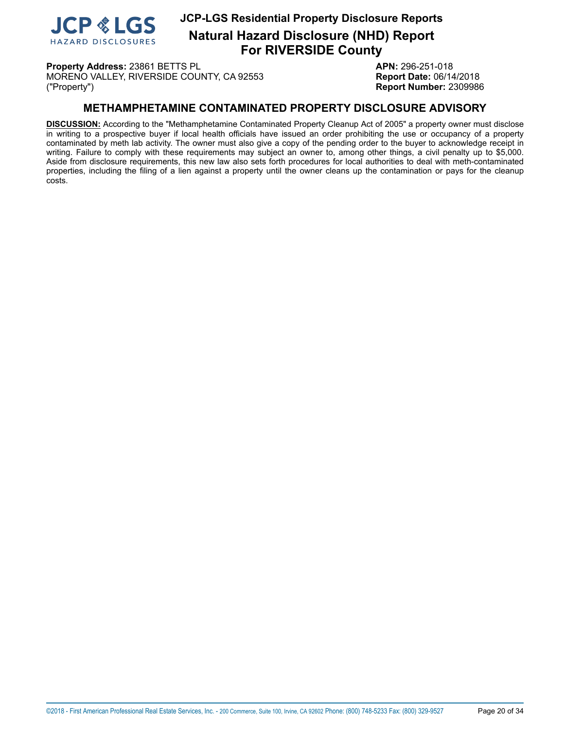

**Property Address:** 23861 BETTS PL **APN:** 296-251-018 MORENO VALLEY, RIVERSIDE COUNTY, CA 92553 **Report Date:** 06/14/2018 ("Property") **Report Number:** 2309986

## **METHAMPHETAMINE CONTAMINATED PROPERTY DISCLOSURE ADVISORY**

<span id="page-19-0"></span>**DISCUSSION:** According to the "Methamphetamine Contaminated Property Cleanup Act of 2005" a property owner must disclose in writing to a prospective buyer if local health officials have issued an order prohibiting the use or occupancy of a property contaminated by meth lab activity. The owner must also give a copy of the pending order to the buyer to acknowledge receipt in writing. Failure to comply with these requirements may subject an owner to, among other things, a civil penalty up to \$5,000. Aside from disclosure requirements, this new law also sets forth procedures for local authorities to deal with meth-contaminated properties, including the filing of a lien against a property until the owner cleans up the contamination or pays for the cleanup costs.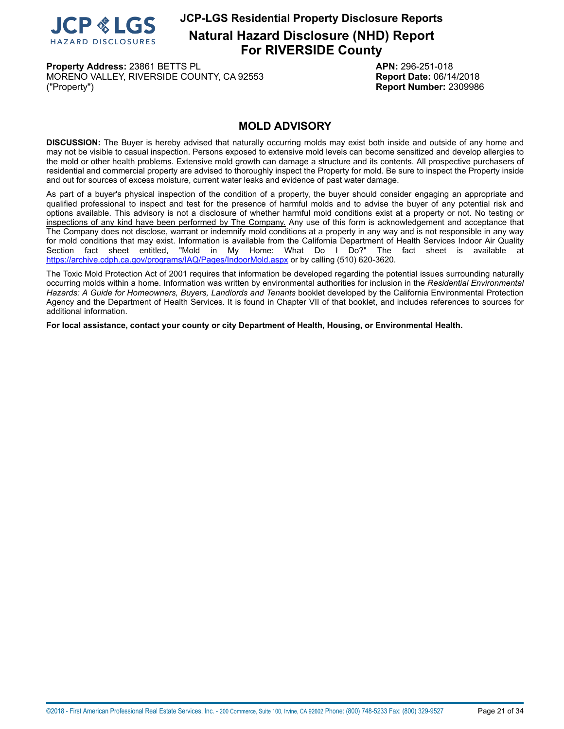

**Property Address:** 23861 BETTS PL **APN:** 296-251-018 MORENO VALLEY, RIVERSIDE COUNTY, CA 92553 **Report Date:** 06/14/2018 ("Property") **Report Number:** 2309986

## **MOLD ADVISORY**

<span id="page-20-0"></span>**DISCUSSION:** The Buyer is hereby advised that naturally occurring molds may exist both inside and outside of any home and may not be visible to casual inspection. Persons exposed to extensive mold levels can become sensitized and develop allergies to the mold or other health problems. Extensive mold growth can damage a structure and its contents. All prospective purchasers of residential and commercial property are advised to thoroughly inspect the Property for mold. Be sure to inspect the Property inside and out for sources of excess moisture, current water leaks and evidence of past water damage.

As part of a buyer's physical inspection of the condition of a property, the buyer should consider engaging an appropriate and qualified professional to inspect and test for the presence of harmful molds and to advise the buyer of any potential risk and options available. This advisory is not a disclosure of whether harmful mold conditions exist at a property or not. No testing or inspections of any kind have been performed by The Company. Any use of this form is acknowledgement and acceptance that The Company does not disclose, warrant or indemnify mold conditions at a property in any way and is not responsible in any way for mold conditions that may exist. Information is available from the California Department of Health Services Indoor Air Quality<br>Section fact sheet entitled. "Mold in My Home: What Do I Do?" The fact sheet is available at "Mold in My Home: What Do I Do?" The fact sheet is available at <https://archive.cdph.ca.gov/programs/IAQ/Pages/IndoorMold.aspx> or by calling (510) 620-3620.

The Toxic Mold Protection Act of 2001 requires that information be developed regarding the potential issues surrounding naturally occurring molds within a home. Information was written by environmental authorities for inclusion in the *Residential Environmental Hazards: A Guide for Homeowners, Buyers, Landlords and Tenants* booklet developed by the California Environmental Protection Agency and the Department of Health Services. It is found in Chapter VII of that booklet, and includes references to sources for additional information.

**For local assistance, contact your county or city Department of Health, Housing, or Environmental Health.**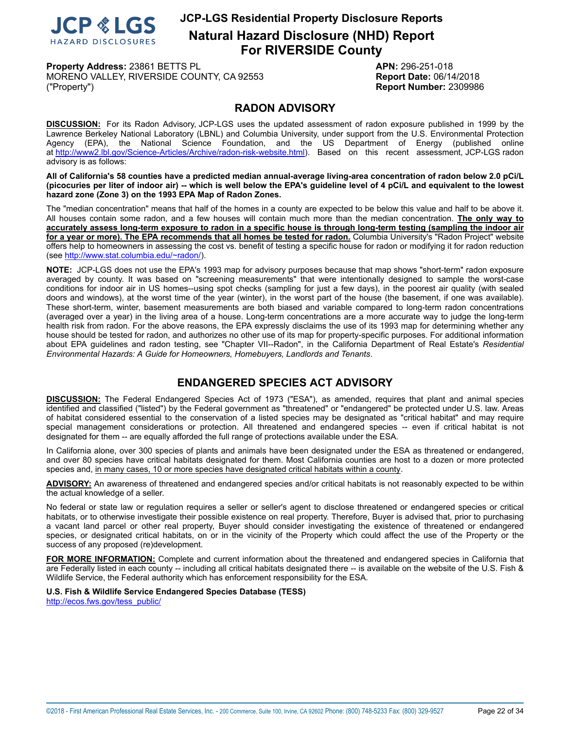

**Property Address:** 23861 BETTS PL **APN:** 296-251-018 MORENO VALLEY, RIVERSIDE COUNTY, CA 92553 **Report Date:** 06/14/2018 ("Property") **Report Number:** 2309986

## **RADON ADVISORY**

<span id="page-21-0"></span>**DISCUSSION:** For its Radon Advisory, JCP-LGS uses the updated assessment of radon exposure published in 1999 by the Lawrence Berkeley National Laboratory (LBNL) and Columbia University, under support from the U.S. Environmental Protection Agency (EPA), the National Science Foundation, and the US Department of Energy (published online at [http://www2.lbl.gov/Science-Articles/Archive/radon-risk-website.html\)](http://www2.lbl.gov/Science-Articles/Archive/radon-risk-website.html). Based on this recent assessment, JCP-LGS radon advisory is as follows:

All of California's 58 counties have a predicted median annual-average living-area concentration of radon below 2.0 pCi/L (picocuries per liter of indoor air) -- which is well below the EPA's guideline level of 4 pCi/L and equivalent to the lowest **hazard zone (Zone 3) on the 1993 EPA Map of Radon Zones.**

The "median concentration" means that half of the homes in a county are expected to be below this value and half to be above it. All houses contain some radon, and a few houses will contain much more than the median concentration. **The only way to** accurately assess long-term exposure to radon in a specific house is through long-term testing (sampling the indoor air for a year or more). The EPA recommends that all homes be tested for radon. Columbia University's "Radon Project" website offers help to homeowners in assessing the cost vs. benefit of testing a specific house for radon or modifying it for radon reduction (see<http://www.stat.columbia.edu/~radon/>).

**NOTE:** JCP-LGS does not use the EPA's 1993 map for advisory purposes because that map shows "short-term" radon exposure averaged by county. It was based on "screening measurements" that were intentionally designed to sample the worst-case conditions for indoor air in US homes--using spot checks (sampling for just a few days), in the poorest air quality (with sealed doors and windows), at the worst time of the year (winter), in the worst part of the house (the basement, if one was available). These short-term, winter, basement measurements are both biased and variable compared to long-term radon concentrations (averaged over a year) in the living area of a house. Long-term concentrations are a more accurate way to judge the long-term health risk from radon. For the above reasons, the EPA expressly disclaims the use of its 1993 map for determining whether any house should be tested for radon, and authorizes no other use of its map for property-specific purposes. For additional information about EPA guidelines and radon testing, see "Chapter VII--Radon", in the California Department of Real Estate's *Residential Environmental Hazards: A Guide for Homeowners, Homebuyers, Landlords and Tenants*.

## **ENDANGERED SPECIES ACT ADVISORY**

<span id="page-21-1"></span>**DISCUSSION:** The Federal Endangered Species Act of 1973 ("ESA"), as amended, requires that plant and animal species identified and classified ("listed") by the Federal government as "threatened" or "endangered" be protected under U.S. law. Areas of habitat considered essential to the conservation of a listed species may be designated as "critical habitat" and may require special management considerations or protection. All threatened and endangered species -- even if critical habitat is not designated for them -- are equally afforded the full range of protections available under the ESA.

In California alone, over 300 species of plants and animals have been designated under the ESA as threatened or endangered, and over 80 species have critical habitats designated for them. Most California counties are host to a dozen or more protected species and, in many cases, 10 or more species have designated critical habitats within a county.

**ADVISORY:** An awareness of threatened and endangered species and/or critical habitats is not reasonably expected to be within the actual knowledge of a seller.

No federal or state law or regulation requires a seller or seller's agent to disclose threatened or endangered species or critical habitats, or to otherwise investigate their possible existence on real property. Therefore, Buyer is advised that, prior to purchasing a vacant land parcel or other real property, Buyer should consider investigating the existence of threatened or endangered species, or designated critical habitats, on or in the vicinity of the Property which could affect the use of the Property or the success of any proposed (re)development.

**FOR MORE INFORMATION:** Complete and current information about the threatened and endangered species in California that are Federally listed in each county -- including all critical habitats designated there -- is available on the website of the U.S. Fish & Wildlife Service, the Federal authority which has enforcement responsibility for the ESA.

**U.S. Fish & Wildlife Service Endangered Species Database (TESS)** [http://ecos.fws.gov/tess\\_public/](http://ecos.fws.gov/tess_public/)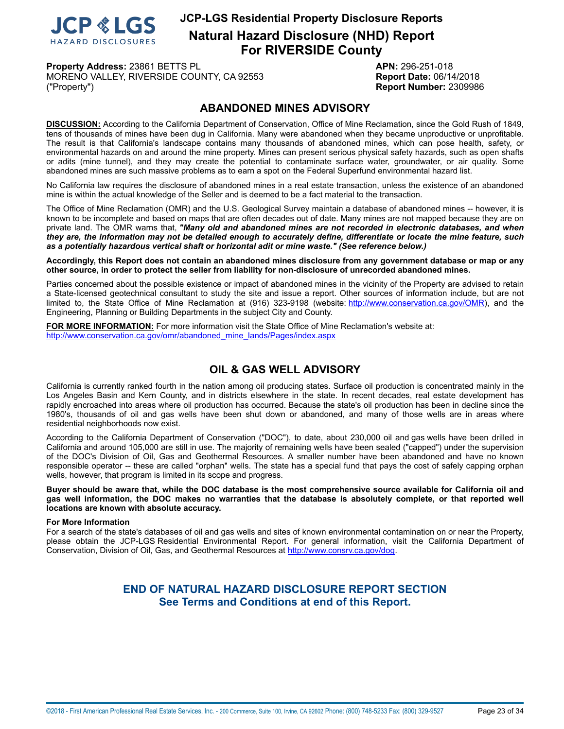

**Property Address:** 23861 BETTS PL **APN:** 296-251-018 MORENO VALLEY, RIVERSIDE COUNTY, CA 92553 **Report Date:** 06/14/2018 ("Property") **Report Number:** 2309986

## **ABANDONED MINES ADVISORY**

<span id="page-22-0"></span>**DISCUSSION:** According to the California Department of Conservation, Office of Mine Reclamation, since the Gold Rush of 1849, tens of thousands of mines have been dug in California. Many were abandoned when they became unproductive or unprofitable. The result is that California's landscape contains many thousands of abandoned mines, which can pose health, safety, or environmental hazards on and around the mine property. Mines can present serious physical safety hazards, such as open shafts or adits (mine tunnel), and they may create the potential to contaminate surface water, groundwater, or air quality. Some abandoned mines are such massive problems as to earn a spot on the Federal Superfund environmental hazard list.

No California law requires the disclosure of abandoned mines in a real estate transaction, unless the existence of an abandoned mine is within the actual knowledge of the Seller and is deemed to be a fact material to the transaction.

The Office of Mine Reclamation (OMR) and the U.S. Geological Survey maintain a database of abandoned mines -- however, it is known to be incomplete and based on maps that are often decades out of date. Many mines are not mapped because they are on private land. The OMR warns that, *"Many old and abandoned mines are not recorded in electronic databases, and when* they are, the information may not be detailed enough to accurately define, differentiate or locate the mine feature, such *as a potentially hazardous vertical shaft or horizontal adit or mine waste." (See reference below.)*

Accordingly, this Report does not contain an abandoned mines disclosure from any government database or map or any **other source, in order to protect the seller from liability for non-disclosure of unrecorded abandoned mines.**

Parties concerned about the possible existence or impact of abandoned mines in the vicinity of the Property are advised to retain a State-licensed geotechnical consultant to study the site and issue a report. Other sources of information include, but are not limited to, the State Office of Mine Reclamation at (916) 323-9198 (website: <http://www.conservation.ca.gov/OMR>), and the Engineering, Planning or Building Departments in the subject City and County.

**FOR MORE INFORMATION:** For more information visit the State Office of Mine Reclamation's website at: [http://www.conservation.ca.gov/omr/abandoned\\_mine\\_lands/Pages/index.aspx](http://www.conservation.ca.gov/omr/abandoned_mine_lands/Pages/index.aspx)

## **OIL & GAS WELL ADVISORY**

<span id="page-22-1"></span>California is currently ranked fourth in the nation among oil producing states. Surface oil production is concentrated mainly in the Los Angeles Basin and Kern County, and in districts elsewhere in the state. In recent decades, real estate development has rapidly encroached into areas where oil production has occurred. Because the state's oil production has been in decline since the 1980's, thousands of oil and gas wells have been shut down or abandoned, and many of those wells are in areas where residential neighborhoods now exist.

According to the California Department of Conservation ("DOC"), to date, about 230,000 oil and gas wells have been drilled in California and around 105,000 are still in use. The majority of remaining wells have been sealed ("capped") under the supervision of the DOC's Division of Oil, Gas and Geothermal Resources. A smaller number have been abandoned and have no known responsible operator -- these are called "orphan" wells. The state has a special fund that pays the cost of safely capping orphan wells, however, that program is limited in its scope and progress.

Buyer should be aware that, while the DOC database is the most comprehensive source available for California oil and gas well information, the DOC makes no warranties that the database is absolutely complete, or that reported well **locations are known with absolute accuracy.**

#### **For More Information**

For a search of the state's databases of oil and gas wells and sites of known environmental contamination on or near the Property, please obtain the JCP-LGS Residential Environmental Report. For general information, visit the California Department of Conservation, Division of Oil, Gas, and Geothermal Resources at [http://www.consrv.ca.gov/dog.](http://www.consrv.ca.gov/dog)

## **END OF NATURAL HAZARD DISCLOSURE REPORT SECTION See Terms and Conditions at end of this Report.**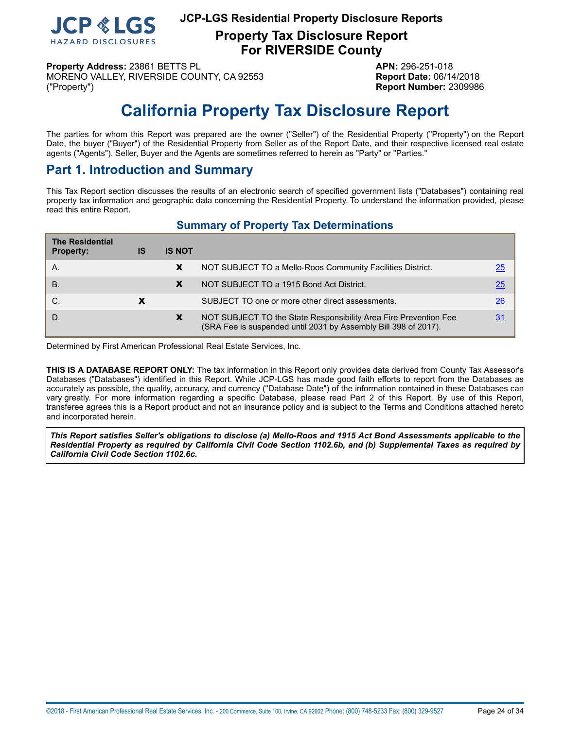

**Property Tax Disclosure Report For RIVERSIDE County**

**Property Address:** 23861 BETTS PL **APN:** 296-251-018 MORENO VALLEY, RIVERSIDE COUNTY, CA 92553 **Report Date:** 06/14/2018 ("Property") **Report Number:** 2309986

# **California Property Tax Disclosure Report**

<span id="page-23-0"></span>The parties for whom this Report was prepared are the owner ("Seller") of the Residential Property ("Property") on the Report Date, the buyer ("Buyer") of the Residential Property from Seller as of the Report Date, and their respective licensed real estate agents ("Agents"). Seller, Buyer and the Agents are sometimes referred to herein as "Party" or "Parties."

## **Part 1. Introduction and Summary**

This Tax Report section discusses the results of an electronic search of specified government lists ("Databases") containing real property tax information and geographic data concerning the Residential Property. To understand the information provided, please read this entire Report.

## **Summary of Property Tax Determinations**

| <b>The Residential</b><br><b>Property:</b> | IS | <b>IS NOT</b> |                                                                                                                                     |                 |
|--------------------------------------------|----|---------------|-------------------------------------------------------------------------------------------------------------------------------------|-----------------|
| Α.                                         |    | X             | NOT SUBJECT TO a Mello-Roos Community Facilities District.                                                                          | 25              |
| <b>B.</b>                                  |    | X             | NOT SUBJECT TO a 1915 Bond Act District.                                                                                            | 25              |
| C.                                         |    |               | SUBJECT TO one or more other direct assessments.                                                                                    | $\overline{26}$ |
| D.                                         |    | X             | NOT SUBJECT TO the State Responsibility Area Fire Prevention Fee<br>(SRA Fee is suspended until 2031 by Assembly Bill 398 of 2017). | 31              |

Determined by First American Professional Real Estate Services, Inc.

**THIS IS A DATABASE REPORT ONLY:** The tax information in this Report only provides data derived from County Tax Assessor's Databases ("Databases") identified in this Report. While JCP-LGS has made good faith efforts to report from the Databases as accurately as possible, the quality, accuracy, and currency ("Database Date") of the information contained in these Databases can vary greatly. For more information regarding a specific Database, please read Part 2 of this Report. By use of this Report, transferee agrees this is a Report product and not an insurance policy and is subject to the Terms and Conditions attached hereto and incorporated herein.

This Report satisfies Seller's obligations to disclose (a) Mello-Roos and 1915 Act Bond Assessments applicable to the Residential Property as required by California Civil Code Section 1102.6b, and (b) Supplemental Taxes as required by *California Civil Code Section 1102.6c.*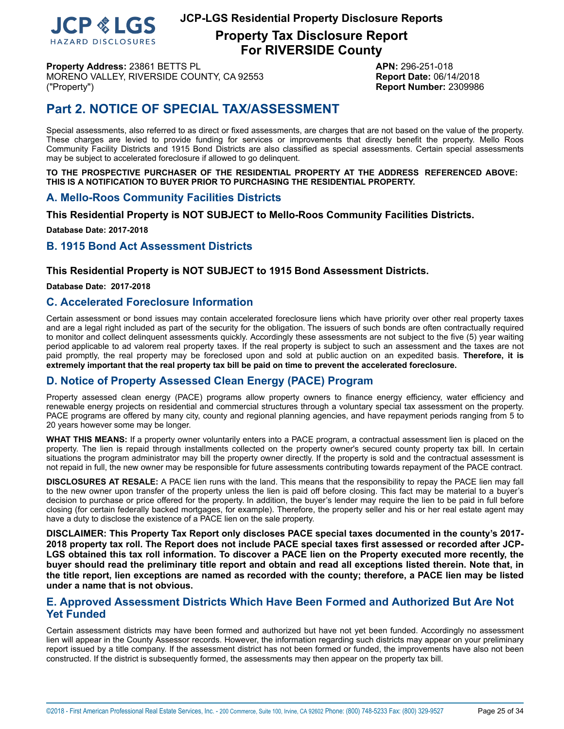

**Property Tax Disclosure Report For RIVERSIDE County**

**Property Address:** 23861 BETTS PL **APN:** 296-251-018 MORENO VALLEY, RIVERSIDE COUNTY, CA 92553 **Report Date:** 06/14/2018 ("Property") **Report Number:** 2309986

## **Part 2. NOTICE OF SPECIAL TAX/ASSESSMENT**

Special assessments, also referred to as direct or fixed assessments, are charges that are not based on the value of the property. These charges are levied to provide funding for services or improvements that directly benefit the property. Mello Roos Community Facility Districts and 1915 Bond Districts are also classified as special assessments. Certain special assessments may be subject to accelerated foreclosure if allowed to go delinquent.

**TO THE PROSPECTIVE PURCHASER OF THE RESIDENTIAL PROPERTY AT THE ADDRESS REFERENCED ABOVE: THIS IS A NOTIFICATION TO BUYER PRIOR TO PURCHASING THE RESIDENTIAL PROPERTY.**

### <span id="page-24-0"></span>**A. Mello-Roos Community Facilities Districts**

**This Residential Property is NOT SUBJECT to Mello-Roos Community Facilities Districts.**

**Database Date: 2017-2018**

### <span id="page-24-1"></span>**B. 1915 Bond Act Assessment Districts**

#### **This Residential Property is NOT SUBJECT to 1915 Bond Assessment Districts.**

**Database Date: 2017-2018**

#### **C. Accelerated Foreclosure Information**

Certain assessment or bond issues may contain accelerated foreclosure liens which have priority over other real property taxes and are a legal right included as part of the security for the obligation. The issuers of such bonds are often contractually required to monitor and collect delinquent assessments quickly. Accordingly these assessments are not subject to the five (5) year waiting period applicable to ad valorem real property taxes. If the real property is subject to such an assessment and the taxes are not paid promptly, the real property may be foreclosed upon and sold at public auction on an expedited basis. **Therefore, it is extremely important that the real property tax bill be paid on time to prevent the accelerated foreclosure.**

## **D. Notice of Property Assessed Clean Energy (PACE) Program**

Property assessed clean energy (PACE) programs allow property owners to finance energy efficiency, water efficiency and renewable energy projects on residential and commercial structures through a voluntary special tax assessment on the property. PACE programs are offered by many city, county and regional planning agencies, and have repayment periods ranging from 5 to 20 years however some may be longer.

**WHAT THIS MEANS:** If a property owner voluntarily enters into a PACE program, a contractual assessment lien is placed on the property. The lien is repaid through installments collected on the property owner's secured county property tax bill. In certain situations the program administrator may bill the property owner directly. If the property is sold and the contractual assessment is not repaid in full, the new owner may be responsible for future assessments contributing towards repayment of the PACE contract.

**DISCLOSURES AT RESALE:** A PACE lien runs with the land. This means that the responsibility to repay the PACE lien may fall to the new owner upon transfer of the property unless the lien is paid off before closing. This fact may be material to a buyer's decision to purchase or price offered for the property. In addition, the buyer's lender may require the lien to be paid in full before closing (for certain federally backed mortgages, for example). Therefore, the property seller and his or her real estate agent may have a duty to disclose the existence of a PACE lien on the sale property.

**DISCLAIMER: This Property Tax Report only discloses PACE special taxes documented in the county's 2017-** 2018 property tax roll. The Report does not include PACE special taxes first assessed or recorded after JCP-LGS obtained this tax roll information. To discover a PACE lien on the Property executed more recently, the buyer should read the preliminary title report and obtain and read all exceptions listed therein. Note that, in the title report, lien exceptions are named as recorded with the county; therefore, a PACE lien may be listed **under a name that is not obvious.**

### **E. Approved Assessment Districts Which Have Been Formed and Authorized But Are Not Yet Funded**

Certain assessment districts may have been formed and authorized but have not yet been funded. Accordingly no assessment lien will appear in the County Assessor records. However, the information regarding such districts may appear on your preliminary report issued by a title company. If the assessment district has not been formed or funded, the improvements have also not been constructed. If the district is subsequently formed, the assessments may then appear on the property tax bill.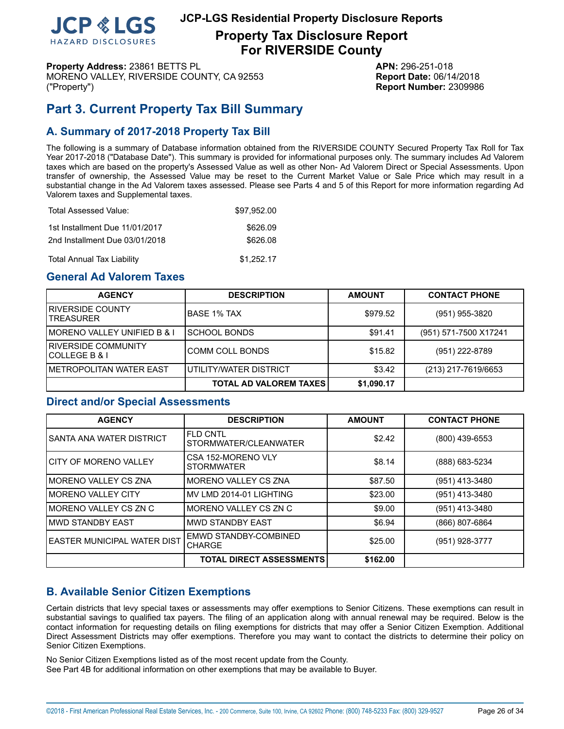

**Property Tax Disclosure Report For RIVERSIDE County**

**Property Address:** 23861 BETTS PL **APN:** 296-251-018 MORENO VALLEY, RIVERSIDE COUNTY, CA 92553 **Report Date:** 06/14/2018 ("Property") **Report Number:** 2309986

## <span id="page-25-0"></span>**Part 3. Current Property Tax Bill Summary**

## **A. Summary of 2017-2018 Property Tax Bill**

The following is a summary of Database information obtained from the RIVERSIDE COUNTY Secured Property Tax Roll for Tax Year 2017-2018 ("Database Date"). This summary is provided for informational purposes only. The summary includes Ad Valorem taxes which are based on the property's Assessed Value as well as other Non- Ad Valorem Direct or Special Assessments. Upon transfer of ownership, the Assessed Value may be reset to the Current Market Value or Sale Price which may result in a substantial change in the Ad Valorem taxes assessed. Please see Parts 4 and 5 of this Report for more information regarding Ad Valorem taxes and Supplemental taxes.

| Total Assessed Value:             | \$97.952.00 |
|-----------------------------------|-------------|
| 1st Installment Due 11/01/2017    | \$626.09    |
| 2nd Installment Due 03/01/2018    | \$626.08    |
| <b>Total Annual Tax Liability</b> | \$1.252.17  |

## **General Ad Valorem Taxes**

| <b>AGENCY</b>                           | <b>DESCRIPTION</b>            | <b>AMOUNT</b> | <b>CONTACT PHONE</b>  |
|-----------------------------------------|-------------------------------|---------------|-----------------------|
| IRIVERSIDE COUNTY<br><b>TREASURER</b>   | IBASE 1% TAX                  | \$979.52      | (951) 955-3820        |
| IMORENO VALLEY UNIFIED B & I            | ISCHOOL BONDS                 | \$91.41       | (951) 571-7500 X17241 |
| I RIVERSIDE COMMUNITY<br>ICOLLEGE B & I | COMM COLL BONDS               | \$15.82       | (951) 222-8789        |
| IMETROPOLITAN WATER EAST                | UTILITY/WATER DISTRICT        | \$3.42        | (213) 217-7619/6653   |
|                                         | <b>TOTAL AD VALOREM TAXES</b> | \$1,090.17    |                       |

## **Direct and/or Special Assessments**

| <b>AGENCY</b>                | <b>DESCRIPTION</b>                            | <b>AMOUNT</b> | <b>CONTACT PHONE</b> |
|------------------------------|-----------------------------------------------|---------------|----------------------|
| ISANTA ANA WATER DISTRICT    | <b>FLD CNTL</b><br>STORMWATER/CLEANWATER      | \$2.42        | (800) 439-6553       |
| I CITY OF MORENO VALLEY      | CSA 152-MORENO VLY<br><b>STORMWATER</b>       | \$8.14        | (888) 683-5234       |
| IMORENO VALLEY CS ZNA        | IMORENO VALLEY CS ZNA                         | \$87.50       | (951) 413-3480       |
| I MORENO VALLEY CITY         | IMV LMD 2014-01 LIGHTING                      | \$23.00       | (951) 413-3480       |
| IMORENO VALLEY CS ZN C       | MORENO VALLEY CS ZN C                         | \$9.00        | (951) 413-3480       |
| IMWD STANDBY EAST            | IMWD STANDBY EAST                             | \$6.94        | (866) 807-6864       |
| LEASTER MUNICIPAL WATER DIST | <b>EMWD STANDBY-COMBINED</b><br><b>CHARGE</b> | \$25.00       | (951) 928-3777       |
|                              | <b>TOTAL DIRECT ASSESSMENTS</b>               | \$162.00      |                      |

## **B. Available Senior Citizen Exemptions**

Certain districts that levy special taxes or assessments may offer exemptions to Senior Citizens. These exemptions can result in substantial savings to qualified tax payers. The filing of an application along with annual renewal may be required. Below is the contact information for requesting details on filing exemptions for districts that may offer a Senior Citizen Exemption. Additional Direct Assessment Districts may offer exemptions. Therefore you may want to contact the districts to determine their policy on Senior Citizen Exemptions.

No Senior Citizen Exemptions listed as of the most recent update from the County. See Part 4B for additional information on other exemptions that may be available to Buyer.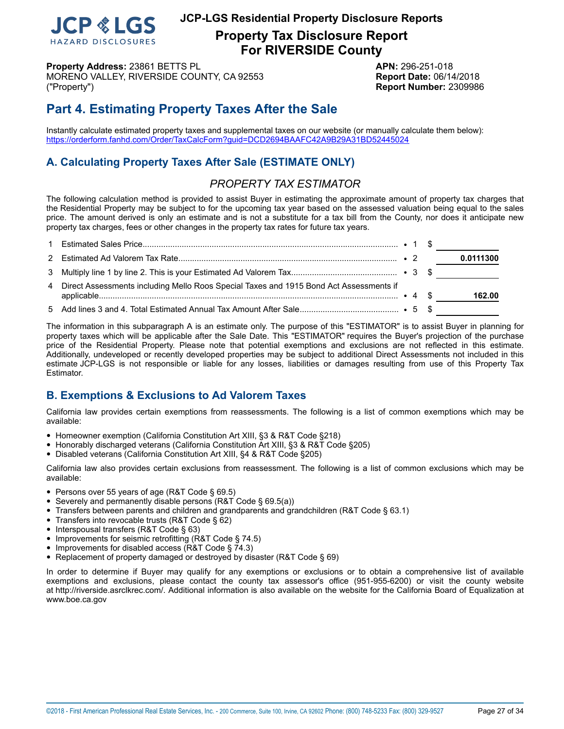

**Property Tax Disclosure Report For RIVERSIDE County**

**Property Address:** 23861 BETTS PL **APN:** 296-251-018 MORENO VALLEY, RIVERSIDE COUNTY, CA 92553 **Report Date:** 06/14/2018 ("Property") **Report Number:** 2309986

## **Part 4. Estimating Property Taxes After the Sale**

Instantly calculate estimated property taxes and supplemental taxes on our website (or manually calculate them below): <https://orderform.fanhd.com/Order/TaxCalcForm?guid=DCD2694BAAFC42A9B29A31BD52445024>

## **A. Calculating Property Taxes After Sale (ESTIMATE ONLY)**

## *PROPERTY TAX ESTIMATOR*

The following calculation method is provided to assist Buyer in estimating the approximate amount of property tax charges that the Residential Property may be subject to for the upcoming tax year based on the assessed valuation being equal to the sales price. The amount derived is only an estimate and is not a substitute for a tax bill from the County, nor does it anticipate new property tax charges, fees or other changes in the property tax rates for future tax years.

|                                                                                          |  | and the control of the control of |
|------------------------------------------------------------------------------------------|--|-----------------------------------|
|                                                                                          |  | 0.0111300                         |
|                                                                                          |  |                                   |
| 4 Direct Assessments including Mello Roos Special Taxes and 1915 Bond Act Assessments if |  | 162.00                            |
|                                                                                          |  |                                   |

The information in this subparagraph A is an estimate only. The purpose of this "ESTIMATOR" is to assist Buyer in planning for property taxes which will be applicable after the Sale Date. This "ESTIMATOR" requires the Buyer's projection of the purchase price of the Residential Property. Please note that potential exemptions and exclusions are not reflected in this estimate. Additionally, undeveloped or recently developed properties may be subject to additional Direct Assessments not included in this estimate JCP-LGS is not responsible or liable for any losses, liabilities or damages resulting from use of this Property Tax Estimator.

## **B. Exemptions & Exclusions to Ad Valorem Taxes**

California law provides certain exemptions from reassessments. The following is a list of common exemptions which may be available:

- Homeowner exemption (California Constitution Art XIII, §3 & R&T Code §218)
- Honorably discharged veterans (California Constitution Art XIII, §3 & R&T Code §205)
- Disabled veterans (California Constitution Art XIII, §4 & R&T Code §205)

California law also provides certain exclusions from reassessment. The following is a list of common exclusions which may be available:

- Persons over 55 years of age (R&T Code § 69.5)
- Severely and permanently disable persons (R&T Code § 69.5(a))
- Transfers between parents and children and grandparents and grandchildren (R&T Code § 63.1)
- Transfers into revocable trusts (R&T Code § 62)
- Interspousal transfers (R&T Code § 63)
- Improvements for seismic retrofitting (R&T Code § 74.5)
- Improvements for disabled access (R&T Code § 74.3)
- Replacement of property damaged or destroyed by disaster (R&T Code § 69)

In order to determine if Buyer may qualify for any exemptions or exclusions or to obtain a comprehensive list of available exemptions and exclusions, please contact the county tax assessor's office (951-955-6200) or visit the county website at http://riverside.asrclkrec.com/. Additional information is also available on the website for the California Board of Equalization at www.boe.ca.gov

©2018 - First American Professional Real Estate Services, Inc. - 200 Commerce, Suite 100, Irvine, CA 92602 Phone: (800) 748-5233 Fax: (800) 329-9527 Page 27 of 34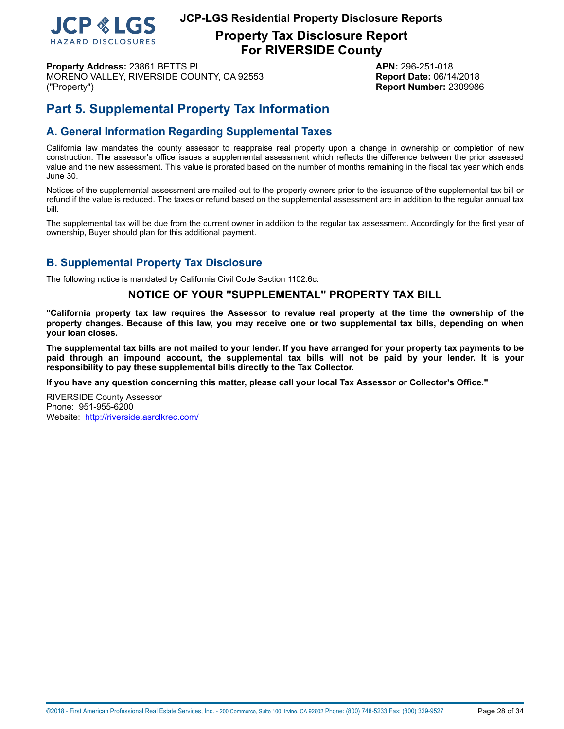

**Property Tax Disclosure Report For RIVERSIDE County**

**Property Address:** 23861 BETTS PL **APN:** 296-251-018 MORENO VALLEY, RIVERSIDE COUNTY, CA 92553 **Report Date:** 06/14/2018 ("Property") **Report Number:** 2309986

## **Part 5. Supplemental Property Tax Information**

## **A. General Information Regarding Supplemental Taxes**

California law mandates the county assessor to reappraise real property upon a change in ownership or completion of new construction. The assessor's office issues a supplemental assessment which reflects the difference between the prior assessed value and the new assessment. This value is prorated based on the number of months remaining in the fiscal tax year which ends June 30.

Notices of the supplemental assessment are mailed out to the property owners prior to the issuance of the supplemental tax bill or refund if the value is reduced. The taxes or refund based on the supplemental assessment are in addition to the regular annual tax bill.

The supplemental tax will be due from the current owner in addition to the regular tax assessment. Accordingly for the first year of ownership, Buyer should plan for this additional payment.

## **B. Supplemental Property Tax Disclosure**

The following notice is mandated by California Civil Code Section 1102.6c:

## **NOTICE OF YOUR "SUPPLEMENTAL" PROPERTY TAX BILL**

"California property tax law requires the Assessor to revalue real property at the time the ownership of the property changes. Because of this law, you may receive one or two supplemental tax bills, depending on when **your loan closes.**

The supplemental tax bills are not mailed to your lender. If you have arranged for your property tax payments to be paid through an impound account, the supplemental tax bills will not be paid by your lender. It is your **responsibility to pay these supplemental bills directly to the Tax Collector.**

**If you have any question concerning this matter, please call your local Tax Assessor or Collector's Office."**

RIVERSIDE County Assessor Phone: 951-955-6200 Website: <http://riverside.asrclkrec.com/>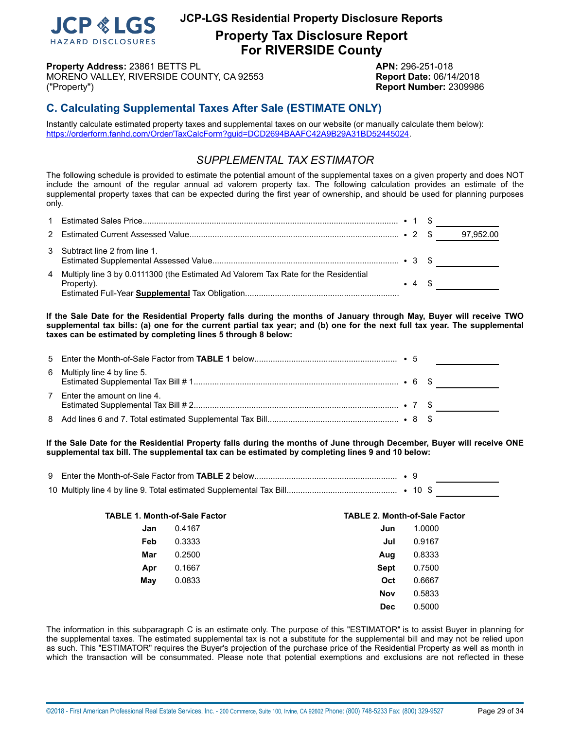

**Property Tax Disclosure Report For RIVERSIDE County**

**Property Address:** 23861 BETTS PL **APN:** 296-251-018 MORENO VALLEY, RIVERSIDE COUNTY, CA 92553 **Report Date:** 06/14/2018 ("Property") **Report Number:** 2309986

## **C. Calculating Supplemental Taxes After Sale (ESTIMATE ONLY)**

Instantly calculate estimated property taxes and supplemental taxes on our website (or manually calculate them below): <https://orderform.fanhd.com/Order/TaxCalcForm?guid=DCD2694BAAFC42A9B29A31BD52445024>.

## *SUPPLEMENTAL TAX ESTIMATOR*

The following schedule is provided to estimate the potential amount of the supplemental taxes on a given property and does NOT include the amount of the regular annual ad valorem property tax. The following calculation provides an estimate of the supplemental property taxes that can be expected during the first year of ownership, and should be used for planning purposes only.

|                                                                                                     |                | 97,952.00 |
|-----------------------------------------------------------------------------------------------------|----------------|-----------|
| 3 Subtract line 2 from line 1.                                                                      |                |           |
| 4 Multiply line 3 by 0.0111300 (the Estimated Ad Valorem Tax Rate for the Residential<br>Property). | $\bullet$ 4 \$ |           |

If the Sale Date for the Residential Property falls during the months of January through May, Buyer will receive TWO supplemental tax bills: (a) one for the current partial tax year; and (b) one for the next full tax year. The supplemental **taxes can be estimated by completing lines 5 through 8 below:**

| 6 Multiply line 4 by line 5.  |  |  |
|-------------------------------|--|--|
| 7 Enter the amount on line 4. |  |  |
|                               |  |  |

If the Sale Date for the Residential Property falls during the months of June through December, Buyer will receive ONE **supplemental tax bill. The supplemental tax can be estimated by completing lines 9 and 10 below:**

| <b>TABLE 1. Month-of-Sale Factor</b> |        | <b>TABLE 2. Month-of-Sale Factor</b> |        |  |  |
|--------------------------------------|--------|--------------------------------------|--------|--|--|
| Jan                                  | 0.4167 | Jun                                  | 1.0000 |  |  |
| Feb                                  | 0.3333 | Jul                                  | 0.9167 |  |  |
| Mar                                  | 0.2500 | Aug                                  | 0.8333 |  |  |
| Apr                                  | 0.1667 | <b>Sept</b>                          | 0.7500 |  |  |
| May                                  | 0.0833 | Oct                                  | 0.6667 |  |  |
|                                      |        | <b>Nov</b>                           | 0.5833 |  |  |
|                                      |        | <b>Dec</b>                           | 0.5000 |  |  |

The information in this subparagraph C is an estimate only. The purpose of this "ESTIMATOR" is to assist Buyer in planning for the supplemental taxes. The estimated supplemental tax is not a substitute for the supplemental bill and may not be relied upon as such. This "ESTIMATOR" requires the Buyer's projection of the purchase price of the Residential Property as well as month in which the transaction will be consummated. Please note that potential exemptions and exclusions are not reflected in these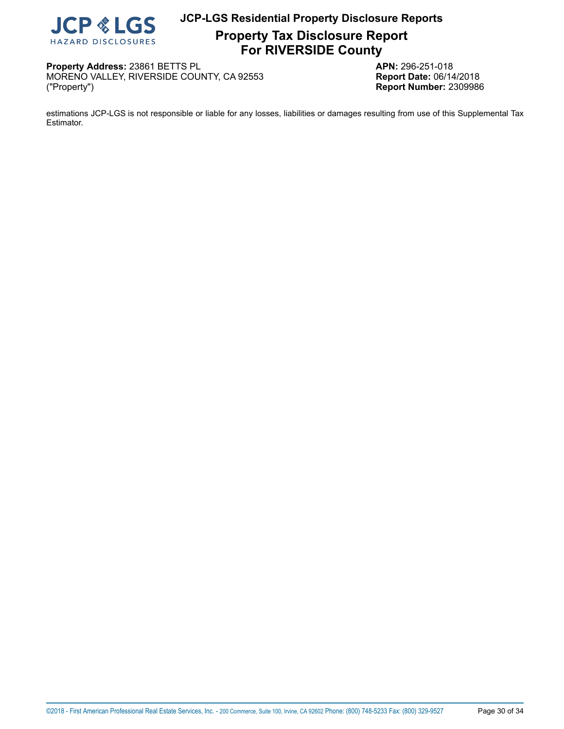

**Property Tax Disclosure Report For RIVERSIDE County**

**Property Address:** 23861 BETTS PL<br>MORENO VALLEY, RIVERSIDE COUNTY, CA 92553 **APN:** 296-251-018 MORENO VALLEY, RIVERSIDE COUNTY, CA 92553 ("Property") **Report Number:** 2309986

estimations JCP-LGS is not responsible or liable for any losses, liabilities or damages resulting from use of this Supplemental Tax Estimator.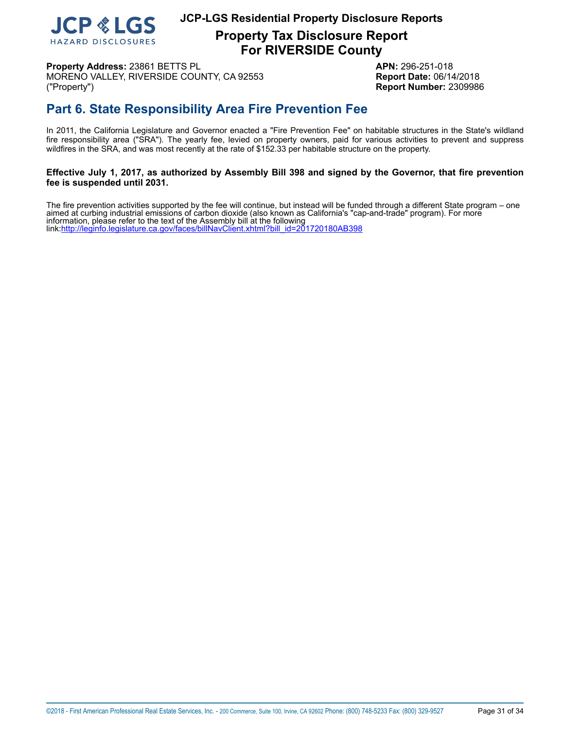

**Property Tax Disclosure Report For RIVERSIDE County**

**Property Address:** 23861 BETTS PL **APN:** 296-251-018 MORENO VALLEY, RIVERSIDE COUNTY, CA 92553 **Report Date:** 06/14/2018 ("Property") **Report Number:** 2309986

## <span id="page-30-0"></span>**Part 6. State Responsibility Area Fire Prevention Fee**

In 2011, the California Legislature and Governor enacted a "Fire Prevention Fee" on habitable structures in the State's wildland fire responsibility area ("SRA"). The yearly fee, levied on property owners, paid for various activities to prevent and suppress wildfires in the SRA, and was most recently at the rate of \$152.33 per habitable structure on the property.

## Effective July 1, 2017, as authorized by Assembly Bill 398 and signed by the Governor, that fire prevention **fee is suspended until 2031.**

 The fire prevention activities supported by the fee will continue, but instead will be funded through a different State program – one aimed at curbing industrial emissions of carbon dioxide (also known as California's "cap-and-trade" program). For more information, please refer to the text of the Assembly bill at the following link[:http://leginfo.legislature.ca.gov/faces/billNavClient.xhtml?bill\\_id=201720180AB398](http://leginfo.legislature.ca.gov/faces/billNavClient.xhtml?bill_id=201720180AB398)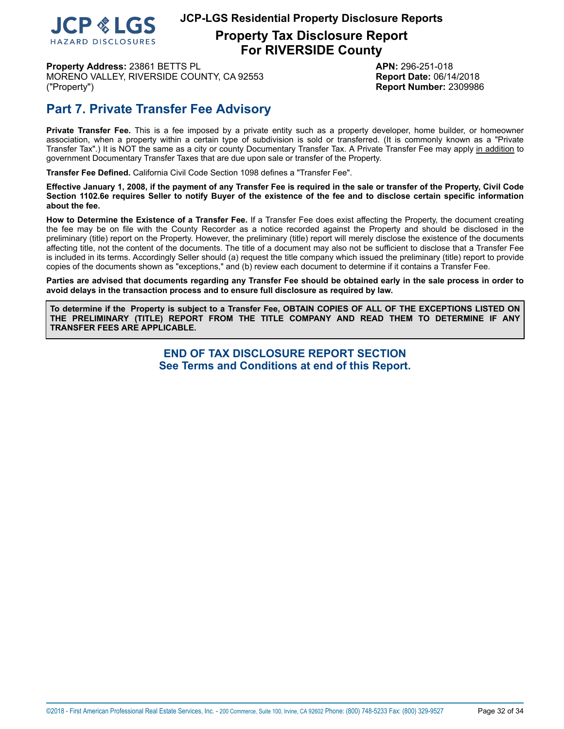

**Property Tax Disclosure Report For RIVERSIDE County**

**Property Address:** 23861 BETTS PL **APN:** 296-251-018 MORENO VALLEY, RIVERSIDE COUNTY, CA 92553 **Report Date:** 06/14/2018 ("Property") **Report Number:** 2309986

## **Part 7. Private Transfer Fee Advisory**

**Private Transfer Fee.** This is a fee imposed by a private entity such as a property developer, home builder, or homeowner association, when a property within a certain type of subdivision is sold or transferred. (It is commonly known as a "Private Transfer Tax".) It is NOT the same as a city or county Documentary Transfer Tax. A Private Transfer Fee may apply in addition to government Documentary Transfer Taxes that are due upon sale or transfer of the Property.

**Transfer Fee Defined.** California Civil Code Section 1098 defines a "Transfer Fee".

Effective January 1, 2008, if the payment of any Transfer Fee is required in the sale or transfer of the Property, Civil Code Section 1102.6e requires Seller to notify Buyer of the existence of the fee and to disclose certain specific information **about the fee.**

**How to Determine the Existence of a Transfer Fee.** If a Transfer Fee does exist affecting the Property, the document creating the fee may be on file with the County Recorder as a notice recorded against the Property and should be disclosed in the preliminary (title) report on the Property. However, the preliminary (title) report will merely disclose the existence of the documents affecting title, not the content of the documents. The title of a document may also not be sufficient to disclose that a Transfer Fee is included in its terms. Accordingly Seller should (a) request the title company which issued the preliminary (title) report to provide copies of the documents shown as "exceptions," and (b) review each document to determine if it contains a Transfer Fee.

Parties are advised that documents regarding any Transfer Fee should be obtained early in the sale process in order to **avoid delays in the transaction process and to ensure full disclosure as required by law.**

To determine if the Property is subject to a Transfer Fee, OBTAIN COPIES OF ALL OF THE EXCEPTIONS LISTED ON **THE PRELIMINARY (TITLE) REPORT FROM THE TITLE COMPANY AND READ THEM TO DETERMINE IF ANY TRANSFER FEES ARE APPLICABLE.**

> **END OF TAX DISCLOSURE REPORT SECTION See Terms and Conditions at end of this Report.**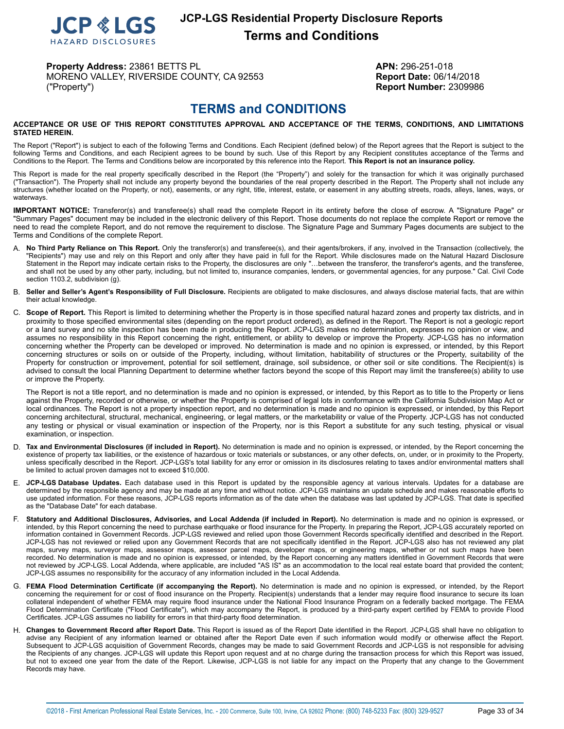

## **JCP-LGS Residential Property Disclosure Reports Terms and Conditions**

**Property Address:** 23861 BETTS PL **APN:** 296-251-018 MORENO VALLEY, RIVERSIDE COUNTY, CA 92553 **Report Date:** 06/14/2018 ("Property") **Report Number:** 2309986

## **TERMS and CONDITIONS**

#### <span id="page-32-0"></span>**ACCEPTANCE OR USE OF THIS REPORT CONSTITUTES APPROVAL AND ACCEPTANCE OF THE TERMS, CONDITIONS, AND LIMITATIONS STATED HEREIN.**

The Report ("Report") is subject to each of the following Terms and Conditions. Each Recipient (defined below) of the Report agrees that the Report is subject to the following Terms and Conditions, and each Recipient agrees to be bound by such. Use of this Report by any Recipient constitutes acceptance of the Terms and Conditions to the Report. The Terms and Conditions below are incorporated by this reference into the Report. **This Report is not an insurance policy.**

This Report is made for the real property specifically described in the Report (the "Property") and solely for the transaction for which it was originally purchased ("Transaction"). The Property shall not include any property beyond the boundaries of the real property described in the Report. The Property shall not include any structures (whether located on the Property, or not), easements, or any right, title, interest, estate, or easement in any abutting streets, roads, alleys, lanes, ways, or waterways.

**IMPORTANT NOTICE:** Transferor(s) and transferee(s) shall read the complete Report in its entirety before the close of escrow. A "Signature Page" or "Summary Pages" document may be included in the electronic delivery of this Report. Those documents do not replace the complete Report or remove the need to read the complete Report, and do not remove the requirement to disclose. The Signature Page and Summary Pages documents are subject to the Terms and Conditions of the complete Report.

- A. **No Third Party Reliance on This Report.** Only the transferor(s) and transferee(s), and their agents/brokers, if any, involved in the Transaction (collectively, the "Recipients") may use and rely on this Report and only after they have paid in full for the Report. While disclosures made on the Natural Hazard Disclosure Statement in the Report may indicate certain risks to the Property, the disclosures are only "…between the transferor, the transferor's agents, and the transferee, and shall not be used by any other party, including, but not limited to, insurance companies, lenders, or governmental agencies, for any purpose." Cal. Civil Code section 1103.2, subdivision (g).
- B. **Seller and Seller's Agent's Responsibility of Full Disclosure.** Recipients are obligated to make disclosures, and always disclose material facts, that are within their actual knowledge.
- C. **Scope of Report.** This Report is limited to determining whether the Property is in those specified natural hazard zones and property tax districts, and in proximity to those specified environmental sites (depending on the report product ordered), as defined in the Report. The Report is not a geologic report or a land survey and no site inspection has been made in producing the Report. JCP-LGS makes no determination, expresses no opinion or view, and assumes no responsibility in this Report concerning the right, entitlement, or ability to develop or improve the Property. JCP-LGS has no information concerning whether the Property can be developed or improved. No determination is made and no opinion is expressed, or intended, by this Report concerning structures or soils on or outside of the Property, including, without limitation, habitability of structures or the Property, suitability of the Property for construction or improvement, potential for soil settlement, drainage, soil subsidence, or other soil or site conditions. The Recipient(s) is advised to consult the local Planning Department to determine whether factors beyond the scope of this Report may limit the transferee(s) ability to use or improve the Property.

The Report is not a title report, and no determination is made and no opinion is expressed, or intended, by this Report as to title to the Property or liens against the Property, recorded or otherwise, or whether the Property is comprised of legal lots in conformance with the California Subdivision Map Act or local ordinances. The Report is not a property inspection report, and no determination is made and no opinion is expressed, or intended, by this Report concerning architectural, structural, mechanical, engineering, or legal matters, or the marketability or value of the Property. JCP-LGS has not conducted any testing or physical or visual examination or inspection of the Property, nor is this Report a substitute for any such testing, physical or visual examination, or inspection.

- D. **Tax and Environmental Disclosures (if included in Report).** No determination is made and no opinion is expressed, or intended, by the Report concerning the existence of property tax liabilities, or the existence of hazardous or toxic materials or substances, or any other defects, on, under, or in proximity to the Property, unless specifically described in the Report. JCP-LGS's total liability for any error or omission in its disclosures relating to taxes and/or environmental matters shall be limited to actual proven damages not to exceed \$10,000.
- E. **JCP-LGS Database Updates.** Each database used in this Report is updated by the responsible agency at various intervals. Updates for a database are determined by the responsible agency and may be made at any time and without notice. JCP-LGS maintains an update schedule and makes reasonable efforts to use updated information. For these reasons, JCP-LGS reports information as of the date when the database was last updated by JCP-LGS. That date is specified as the "Database Date" for each database.
- F. Statutory and Additional Disclosures, Advisories, and Local Addenda (if included in Report). No determination is made and no opinion is expressed, or intended, by this Report concerning the need to purchase earthquake or flood insurance for the Property. In preparing the Report, JCP-LGS accurately reported on information contained in Government Records. JCP-LGS reviewed and relied upon those Government Records specifically identified and described in the Report. JCP-LGS has not reviewed or relied upon any Government Records that are not specifically identified in the Report. JCP-LGS also has not reviewed any plat maps, survey maps, surveyor maps, assessor maps, assessor parcel maps, developer maps, or engineering maps, whether or not such maps have been recorded. No determination is made and no opinion is expressed, or intended, by the Report concerning any matters identified in Government Records that were not reviewed by JCP-LGS. Local Addenda, where applicable, are included "AS IS" as an accommodation to the local real estate board that provided the content; JCP-LGS assumes no responsibility for the accuracy of any information included in the Local Addenda.
- G. **FEMA Flood Determination Certificate (if accompanying the Report).** No determination is made and no opinion is expressed, or intended, by the Report concerning the requirement for or cost of flood insurance on the Property. Recipient(s) understands that a lender may require flood insurance to secure its loan collateral independent of whether FEMA may require flood insurance under the National Flood Insurance Program on a federally backed mortgage. The FEMA Flood Determination Certificate ("Flood Certificate"), which may accompany the Report, is produced by a third-party expert certified by FEMA to provide Flood Certificates. JCP-LGS assumes no liability for errors in that third-party flood determination.
- H. **Changes to Government Record after Report Date.** This Report is issued as of the Report Date identified in the Report. JCP-LGS shall have no obligation to advise any Recipient of any information learned or obtained after the Report Date even if such information would modify or otherwise affect the Report. Subsequent to JCP-LGS acquisition of Government Records, changes may be made to said Government Records and JCP-LGS is not responsible for advising the Recipients of any changes. JCP-LGS will update this Report upon request and at no charge during the transaction process for which this Report was issued, but not to exceed one year from the date of the Report. Likewise, JCP-LGS is not liable for any impact on the Property that any change to the Government Records may have.